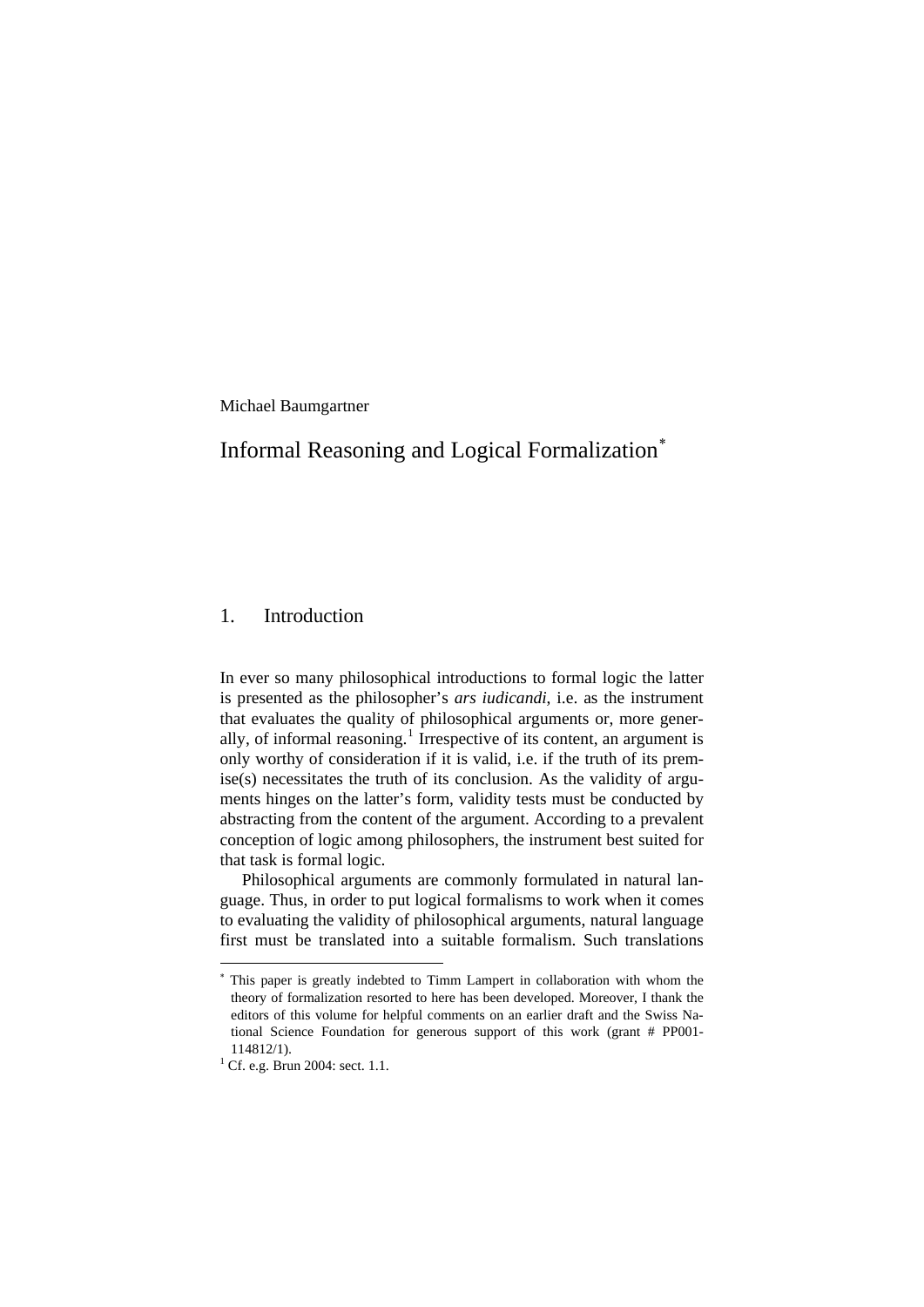# Informal Reasoning and Logical Formalization[∗](#page-0-0)

# 1. Introduction

In ever so many philosophical introductions to formal logic the latter is presented as the philosopher's *ars iudicandi*, i.e. as the instrument that evaluates the quality of philosophical arguments or, more gener-ally, of informal reasoning.<sup>[1](#page-0-1)</sup> Irrespective of its content, an argument is only worthy of consideration if it is valid, i.e. if the truth of its premise(s) necessitates the truth of its conclusion. As the validity of arguments hinges on the latter's form, validity tests must be conducted by abstracting from the content of the argument. According to a prevalent conception of logic among philosophers, the instrument best suited for that task is formal logic.

Philosophical arguments are commonly formulated in natural language. Thus, in order to put logical formalisms to work when it comes to evaluating the validity of philosophical arguments, natural language first must be translated into a suitable formalism. Such translations

<span id="page-0-0"></span><sup>∗</sup> This paper is greatly indebted to Timm Lampert in collaboration with whom the theory of formalization resorted to here has been developed. Moreover, I thank the editors of this volume for helpful comments on an earlier draft and the Swiss National Science Foundation for generous support of this work (grant # PP001- 114812/1). 1

<span id="page-0-1"></span> $1$  Cf. e.g. Brun 2004: sect. 1.1.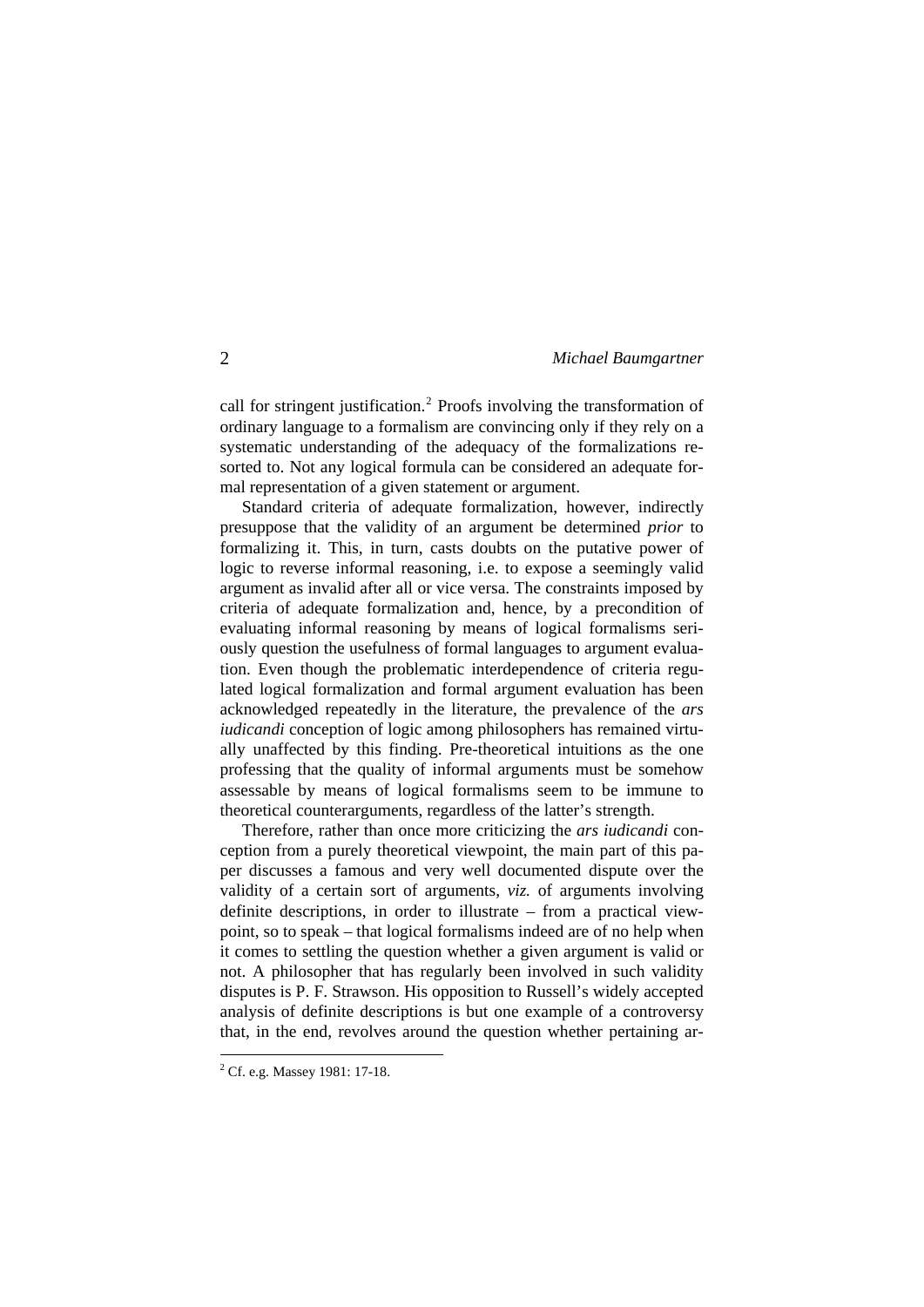call for stringent justification.<sup>[2](#page-1-0)</sup> Proofs involving the transformation of ordinary language to a formalism are convincing only if they rely on a systematic understanding of the adequacy of the formalizations resorted to. Not any logical formula can be considered an adequate formal representation of a given statement or argument.

Standard criteria of adequate formalization, however, indirectly presuppose that the validity of an argument be determined *prior* to formalizing it. This, in turn, casts doubts on the putative power of logic to reverse informal reasoning, i.e. to expose a seemingly valid argument as invalid after all or vice versa. The constraints imposed by criteria of adequate formalization and, hence, by a precondition of evaluating informal reasoning by means of logical formalisms seriously question the usefulness of formal languages to argument evaluation. Even though the problematic interdependence of criteria regulated logical formalization and formal argument evaluation has been acknowledged repeatedly in the literature, the prevalence of the *ars iudicandi* conception of logic among philosophers has remained virtually unaffected by this finding. Pre-theoretical intuitions as the one professing that the quality of informal arguments must be somehow assessable by means of logical formalisms seem to be immune to theoretical counterarguments, regardless of the latter's strength.

Therefore, rather than once more criticizing the *ars iudicandi* conception from a purely theoretical viewpoint, the main part of this paper discusses a famous and very well documented dispute over the validity of a certain sort of arguments, *viz.* of arguments involving definite descriptions, in order to illustrate – from a practical viewpoint, so to speak – that logical formalisms indeed are of no help when it comes to settling the question whether a given argument is valid or not. A philosopher that has regularly been involved in such validity disputes is P. F. Strawson. His opposition to Russell's widely accepted analysis of definite descriptions is but one example of a controversy that, in the end, revolves around the question whether pertaining ar-

<span id="page-1-0"></span> $2^2$  Cf. e.g. Massey 1981: 17-18.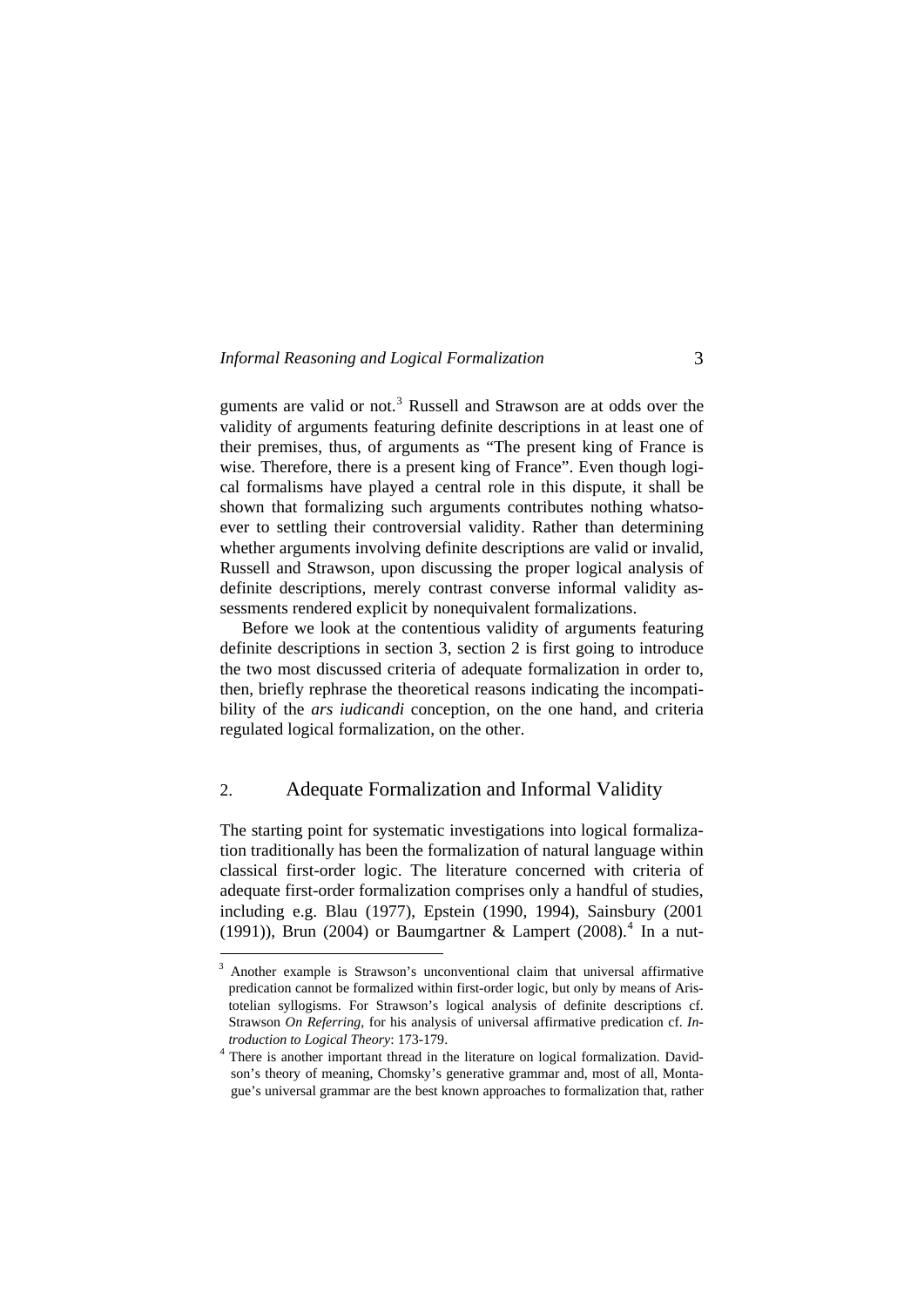guments are valid or not.<sup>[3](#page-2-0)</sup> Russell and Strawson are at odds over the validity of arguments featuring definite descriptions in at least one of their premises, thus, of arguments as "The present king of France is wise. Therefore, there is a present king of France". Even though logical formalisms have played a central role in this dispute, it shall be shown that formalizing such arguments contributes nothing whatsoever to settling their controversial validity. Rather than determining whether arguments involving definite descriptions are valid or invalid, Russell and Strawson, upon discussing the proper logical analysis of definite descriptions, merely contrast converse informal validity assessments rendered explicit by nonequivalent formalizations.

 Before we look at the contentious validity of arguments featuring definite descriptions in section 3, section 2 is first going to introduce the two most discussed criteria of adequate formalization in order to, then, briefly rephrase the theoretical reasons indicating the incompatibility of the *ars iudicandi* conception, on the one hand, and criteria regulated logical formalization, on the other.

# 2. Adequate Formalization and Informal Validity

The starting point for systematic investigations into logical formalization traditionally has been the formalization of natural language within classical first-order logic. The literature concerned with criteria of adequate first-order formalization comprises only a handful of studies, including e.g. Blau (1977), Epstein (1990, 1994), Sainsbury (2001 (1991)), Brun (200[4](#page-2-1)) or Baumgartner & Lampert (2008).<sup>4</sup> In a nut-

<span id="page-2-0"></span><sup>&</sup>lt;sup>3</sup> Another example is Strawson's unconventional claim that universal affirmative predication cannot be formalized within first-order logic, but only by means of Aristotelian syllogisms. For Strawson's logical analysis of definite descriptions cf. Strawson *On Referring*, for his analysis of universal affirmative predication cf. *Introduction to Logical Theory*: 173-179.

<span id="page-2-1"></span><sup>&</sup>lt;sup>4</sup> There is another important thread in the literature on logical formalization. Davidson's theory of meaning, Chomsky's generative grammar and, most of all, Montague's universal grammar are the best known approaches to formalization that, rather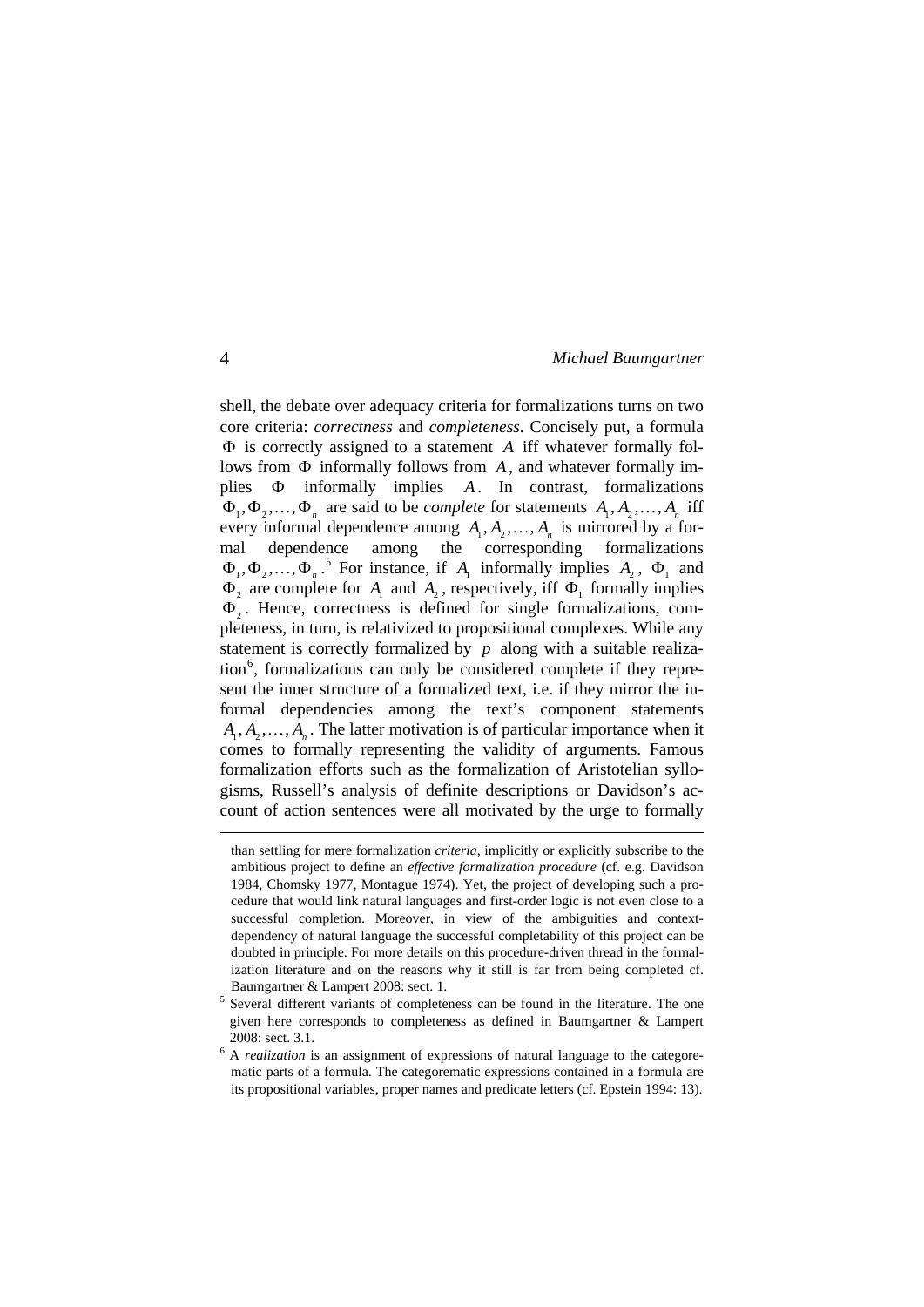shell, the debate over adequacy criteria for formalizations turns on two core criteria: *correctness* and *completeness*. Concisely put, a formula Φ is correctly assigned to a statement A iff whatever formally follows from Φ informally follows from A, and whatever formally implies Φ informally implies A. In contrast, formalizations  $\Phi_1, \Phi_2, \ldots, \Phi_n$  are said to be *complete* for statements  $A_1, A_2, \ldots, A_n$  iff every informal dependence among  $A_1, A_2, ..., A_n$  is mirrored by a formal dependence among the corresponding formalizations  $\Phi_1, \Phi_2, \ldots, \Phi_n$ <sup>[5](#page-3-0)</sup> For instance, if  $A_1$  informally implies  $A_2$ ,  $\Phi_1$  and  $\Phi$ , are complete for A<sub>1</sub> and A<sub>2</sub>, respectively, iff  $\Phi$ <sub>1</sub> formally implies  $\Phi_2$ . Hence, correctness is defined for single formalizations, completeness, in turn, is relativized to propositional complexes. While any statement is correctly formalized by  $p$  along with a suitable realiza-tion<sup>[6](#page-3-1)</sup>, formalizations can only be considered complete if they represent the inner structure of a formalized text, i.e. if they mirror the informal dependencies among the text's componen t statements  $A_1, A_2, \ldots, A_n$ . The latter motivation is of particular importance when it comes to formally representing the validity of arguments. Famous formalization efforts such as the formalization of Aristotelian syllogisms, Russell's analysis of definite descriptions or Davidson's account of action sentences were all motivated by the urge to formally

than settling for mere formalization *criteria*, implicitly or explicitly subscribe to the ambitious project to define an *effective formalization procedure* (cf. e.g. Davidson 1984, Chomsky 1977, Montague 1974). Yet, the project of developing such a procedure that would link natural languages and first-order logic is not even close to a successful completion. Moreover, in view of the ambiguities and contextdependency of natural language the successful completability of this project can be doubted in principle. For more details on this procedure-driven thread in the formalization literature and on the reasons why it still is far from being completed cf. Baumgartner & Lampert 2008: sect. 1. 5

<span id="page-3-0"></span>Several different variants of completeness can be found in the literature. The one given here corresponds to completeness as defined in Baumgartner & Lampert 2008: sect. 3.1.

<span id="page-3-1"></span><sup>&</sup>lt;sup>6</sup> A *realization* is an assignment of expressions of natural language to the categorematic parts of a formula. The categorematic expressions contained in a formula are its propositional variables, proper names and predicate letters (cf. Epstein 1994: 13).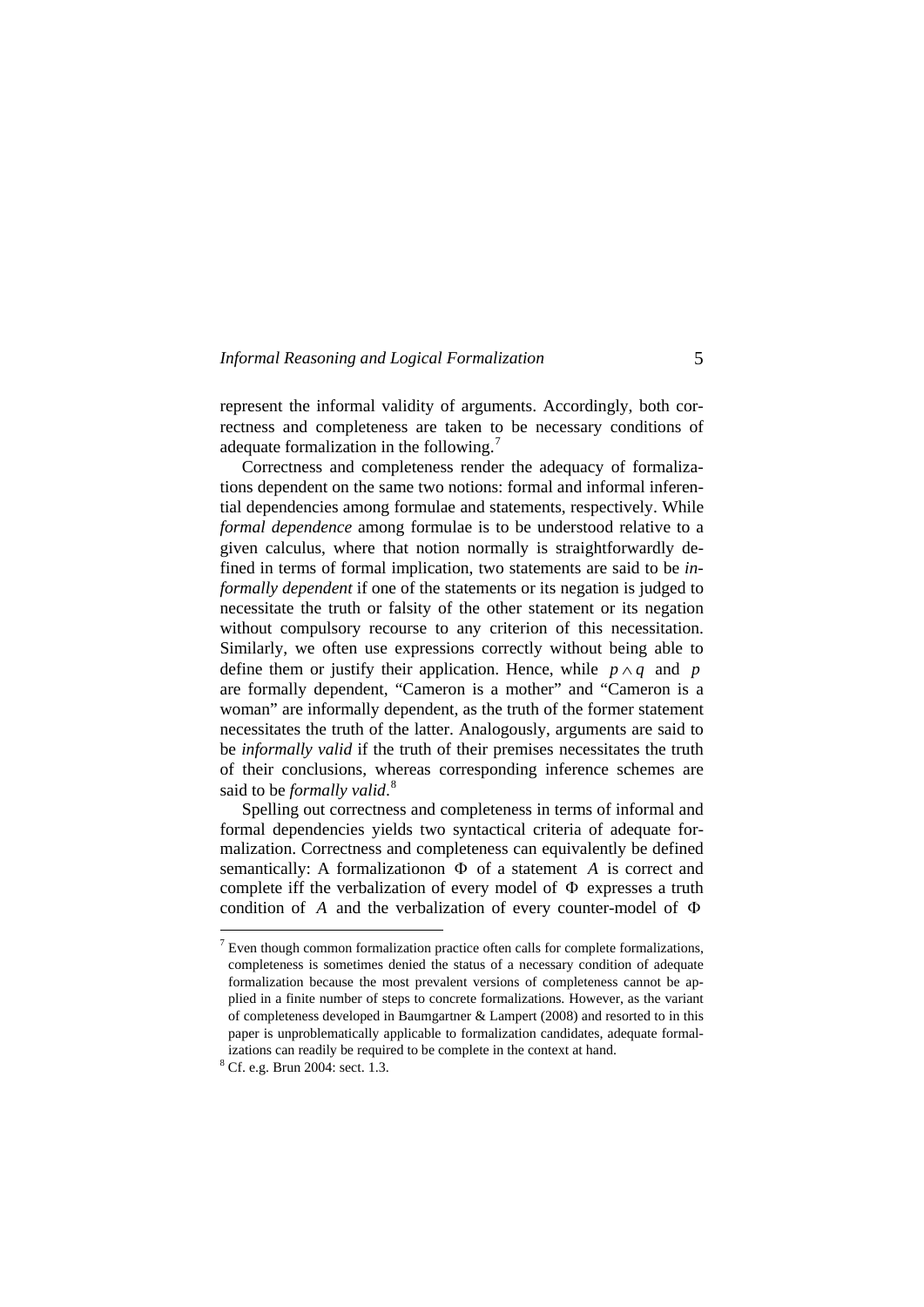represent the informal validity of arguments. Accordingly, both correctness and completeness are taken to be necessary conditions of adequate formalization in the following.<sup>7</sup>

Correctness and completeness render the adequacy of formalizations dependent on the same two notions: formal and informal inferential dependencies among formulae and statements, respectively. While *formal dependence* among formulae is to be understood relative to a given calculus, where that notion normally is straightforwardly defined in terms of formal implication, two statements are said to be *informally dependent* if one of the statements or its negation is judged to necessitate the truth or falsity of the other statement or its negation without compulsory recourse to any criterion of this necessitation. Similarly, we often use expressions correctly without being able to define them or justify their application. Hence, while  $p \wedge q$  and *p* are formally dependent, "Cameron is a mother" and "Cameron is a woman" are informally dependent, as the truth of the former statement necessitates the truth of the latter. Analogously, arguments are said to be *informally valid* if the truth of their premises necessitates the truth of their conclusions, whereas corresponding inference schemes are said to be *formally valid*. [8](#page-4-0)

 Spelling out correctness and completeness in terms of informal and formal dependencies yields two syntactical criteria of adequate formalization. Correctness and completeness can equivalently be defined semantically: A formalization on  $\Phi$  of a statement A is correct and complete iff the verbalization of every model of Φ expresses a truth condition of *A* and the verbalization of every counter-model of Φ

 $<sup>7</sup>$  Even though common formalization practice often calls for complete formalizations,</sup> completeness is sometimes denied the status of a necessary condition of adequate formalization because the most prevalent versions of completeness cannot be applied in a finite number of steps to concrete formalizations. However, as the variant of completeness developed in Baumgartner & Lampert (2008) and resorted to in this paper is unproblematically applicable to formalization candidates, adequate formalizations can readily be required to be complete in the context at hand.

<span id="page-4-0"></span><sup>&</sup>lt;sup>8</sup> Cf. e.g. Brun 2004: sect. 1.3.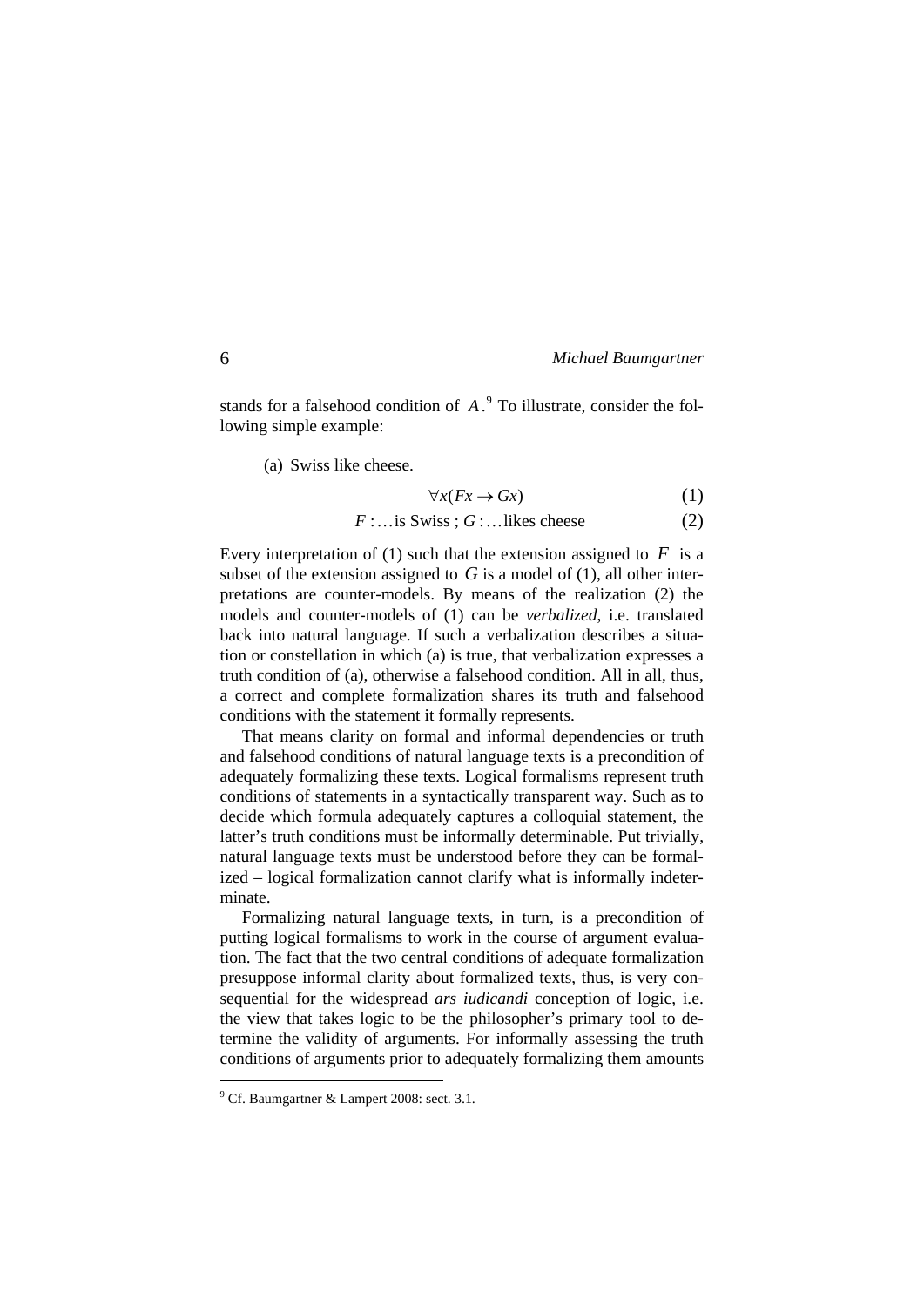stands for a falsehood condition of  $A$ <sup>[9](#page-5-0)</sup>. To illustrate, consider the following simple example:

(a) Swiss like cheese.

$$
\forall x (Fx \to Gx) \tag{1}
$$

$$
F: \dots \text{is Swiss}; G: \dots \text{likes cheese} \tag{2}
$$

<span id="page-5-2"></span><span id="page-5-1"></span>Every interpretation of [\(1\)](#page-5-1) such that the extension assigned to  $F$  is a subset of the extension assigned to  $G$  is a model of  $(1)$ , all other interpretations are counter-models. By means of the realization [\(2\)](#page-5-2) the models and counter-models of [\(1\)](#page-5-1) can be *verbalized*, i.e. translated back into natural language. If such a verbalization describes a situation or constellation in which (a) is true, that verbalization expresses a truth condition of (a), otherwise a falsehood condition. All in all, thus, a correct and complete formalization shares its truth and falsehood conditions with the statement it formally represents.

 That means clarity on formal and informal dependencies or truth and falsehood conditions of natural language texts is a precondition of adequately formalizing these texts. Logical formalisms represent truth conditions of statements in a syntactically transparent way. Such as to decide which formula adequately captures a colloquial statement, the latter's truth conditions must be informally determinable. Put trivially, natural language texts must be understood before they can be formalized – logical formalization cannot clarify what is informally indeterminate.

 Formalizing natural language texts, in turn, is a precondition of putting logical formalisms to work in the course of argument evaluation. The fact that the two central conditions of adequate formalization presuppose informal clarity about formalized texts, thus, is very consequential for the widespread *ars iudicandi* conception of logic, i.e. the view that takes logic to be the philosopher's primary tool to determine the validity of arguments. For informally assessing the truth conditions of arguments prior to adequately formalizing them amounts

<span id="page-5-0"></span><sup>&</sup>lt;sup>9</sup> Cf. Baumgartner & Lampert 2008: sect. 3.1.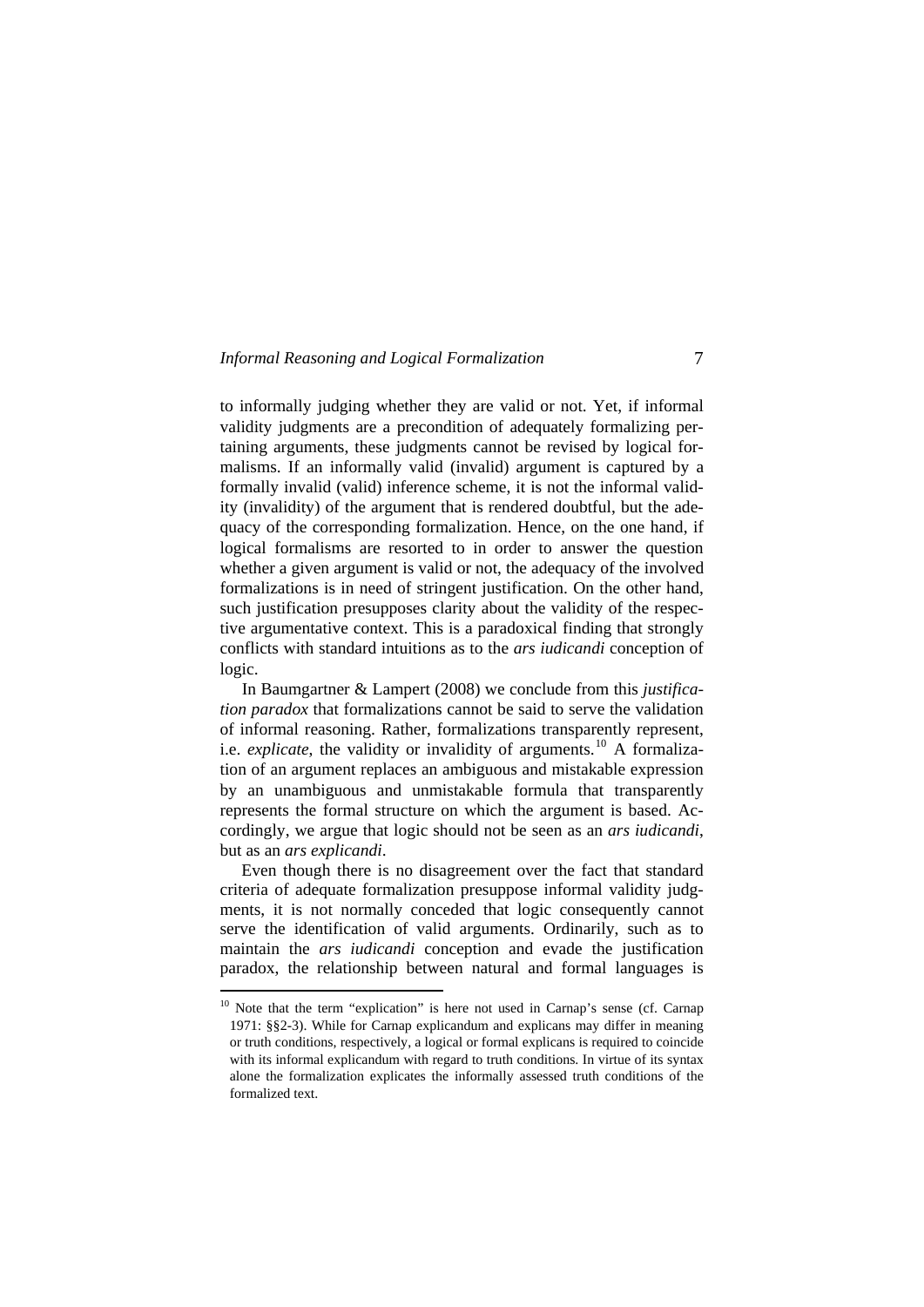to informally judging whether they are valid or not. Yet, if informal validity judgments are a precondition of adequately formalizing pertaining arguments, these judgments cannot be revised by logical formalisms. If an informally valid (invalid) argument is captured by a formally invalid (valid) inference scheme, it is not the informal validity (invalidity) of the argument that is rendered doubtful, but the adequacy of the corresponding formalization. Hence, on the one hand, if logical formalisms are resorted to in order to answer the question whether a given argument is valid or not, the adequacy of the involved formalizations is in need of stringent justification. On the other hand, such justification presupposes clarity about the validity of the respective argumentative context. This is a paradoxical finding that strongly conflicts with standard intuitions as to the *ars iudicandi* conception of logic.

 In Baumgartner & Lampert (2008) we conclude from this *justification paradox* that formalizations cannot be said to serve the validation of informal reasoning. Rather, formalizations transparently represent, i.e. *explicate*, the validity or invalidity of arguments.<sup>[10](#page-6-0)</sup> A formalization of an argument replaces an ambiguous and mistakable expression by an unambiguous and unmistakable formula that transparently represents the formal structure on which the argument is based. Accordingly, we argue that logic should not be seen as an *ars iudicandi*, but as an *ars explicandi*.

Even though there is no disagreement over the fact that standard criteria of adequate formalization presuppose informal validity judgments, it is not normally conceded that logic consequently cannot serve the identification of valid arguments. Ordinarily, such as to maintain the *ars iudicandi* conception and evade the justification paradox, the relationship between natural and formal languages is

<span id="page-6-0"></span> $10$  Note that the term "explication" is here not used in Carnap's sense (cf. Carnap 1971: §§2-3). While for Carnap explicandum and explicans may differ in meaning or truth conditions, respectively, a logical or formal explicans is required to coincide with its informal explicandum with regard to truth conditions. In virtue of its syntax alone the formalization explicates the informally assessed truth conditions of the formalized text.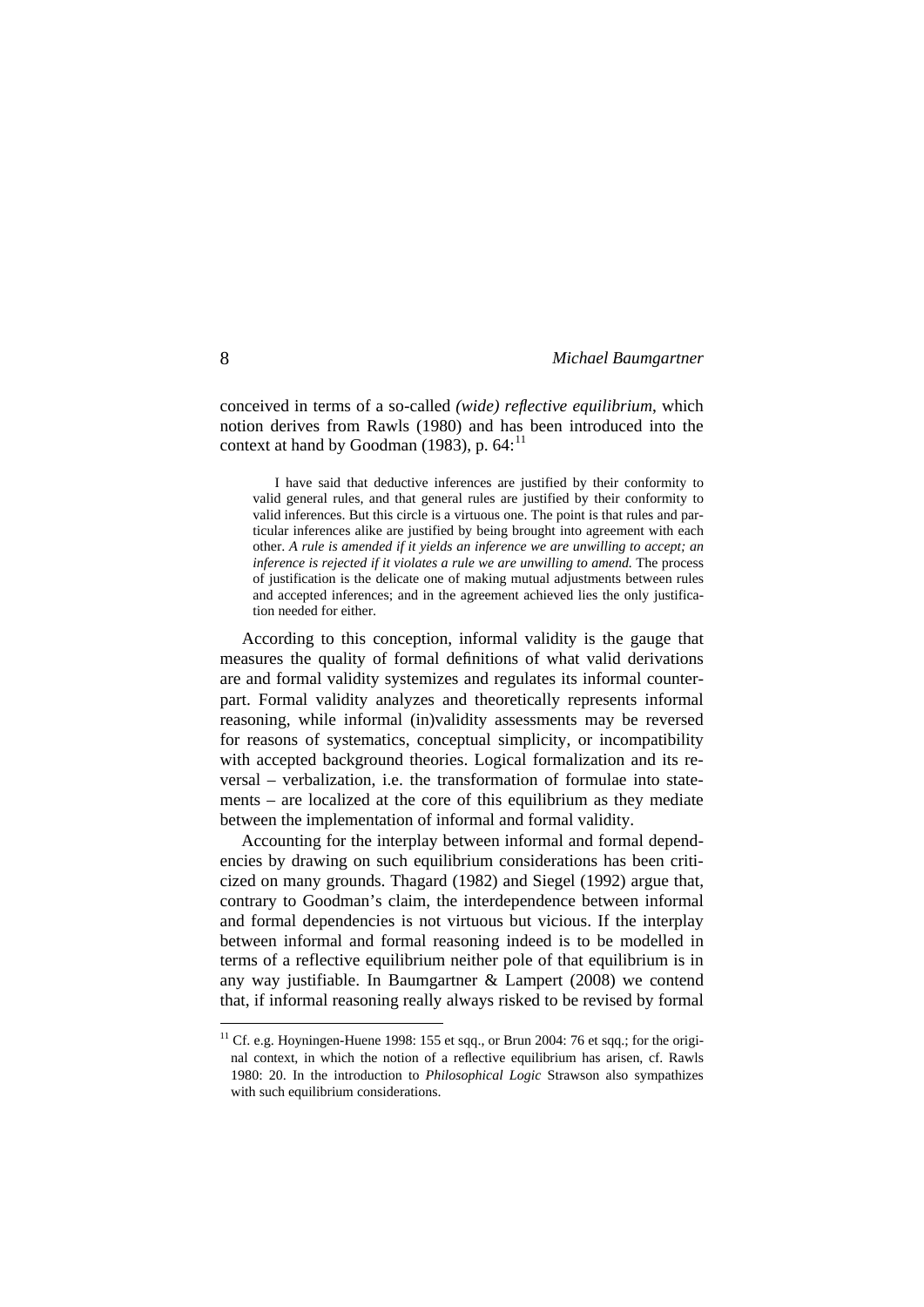conceived in terms of a so-called *(wide) reflective equilibrium*, which notion derives from Rawls (1980) and has been introduced into the context at hand by Goodman (1983), p.  $64$ :<sup>[11](#page-7-0)</sup>

I have said that deductive inferences are justified by their conformity to valid general rules, and that general rules are justified by their conformity to valid inferences. But this circle is a virtuous one. The point is that rules and particular inferences alike are justified by being brought into agreement with each other. *A rule is amended if it yields an inference we are unwilling to accept; an inference is rejected if it violates a rule we are unwilling to amend.* The process of justification is the delicate one of making mutual adjustments between rules and accepted inferences; and in the agreement achieved lies the only justification needed for either.

According to this conception, informal validity is the gauge that measures the quality of formal definitions of what valid derivations are and formal validity systemizes and regulates its informal counterpart. Formal validity analyzes and theoretically represents informal reasoning, while informal (in)validity assessments may be reversed for reasons of systematics, conceptual simplicity, or incompatibility with accepted background theories. Logical formalization and its reversal – verbalization, i.e. the transformation of formulae into statements – are localized at the core of this equilibrium as they mediate between the implementation of informal and formal validity.

Accounting for the interplay between informal and formal dependencies by drawing on such equilibrium considerations has been criticized on many grounds. Thagard (1982) and Siegel (1992) argue that, contrary to Goodman's claim, the interdependence between informal and formal dependencies is not virtuous but vicious. If the interplay between informal and formal reasoning indeed is to be modelled in terms of a reflective equilibrium neither pole of that equilibrium is in any way justifiable. In Baumgartner & Lampert (2008) we contend that, if informal reasoning really always risked to be revised by formal

<span id="page-7-0"></span><sup>&</sup>lt;sup>11</sup> Cf. e.g. Hoyningen-Huene 1998: 155 et sqq., or Brun 2004: 76 et sqq.; for the original context, in which the notion of a reflective equilibrium has arisen, cf. Rawls 1980: 20. In the introduction to *Philosophical Logic* Strawson also sympathizes with such equilibrium considerations.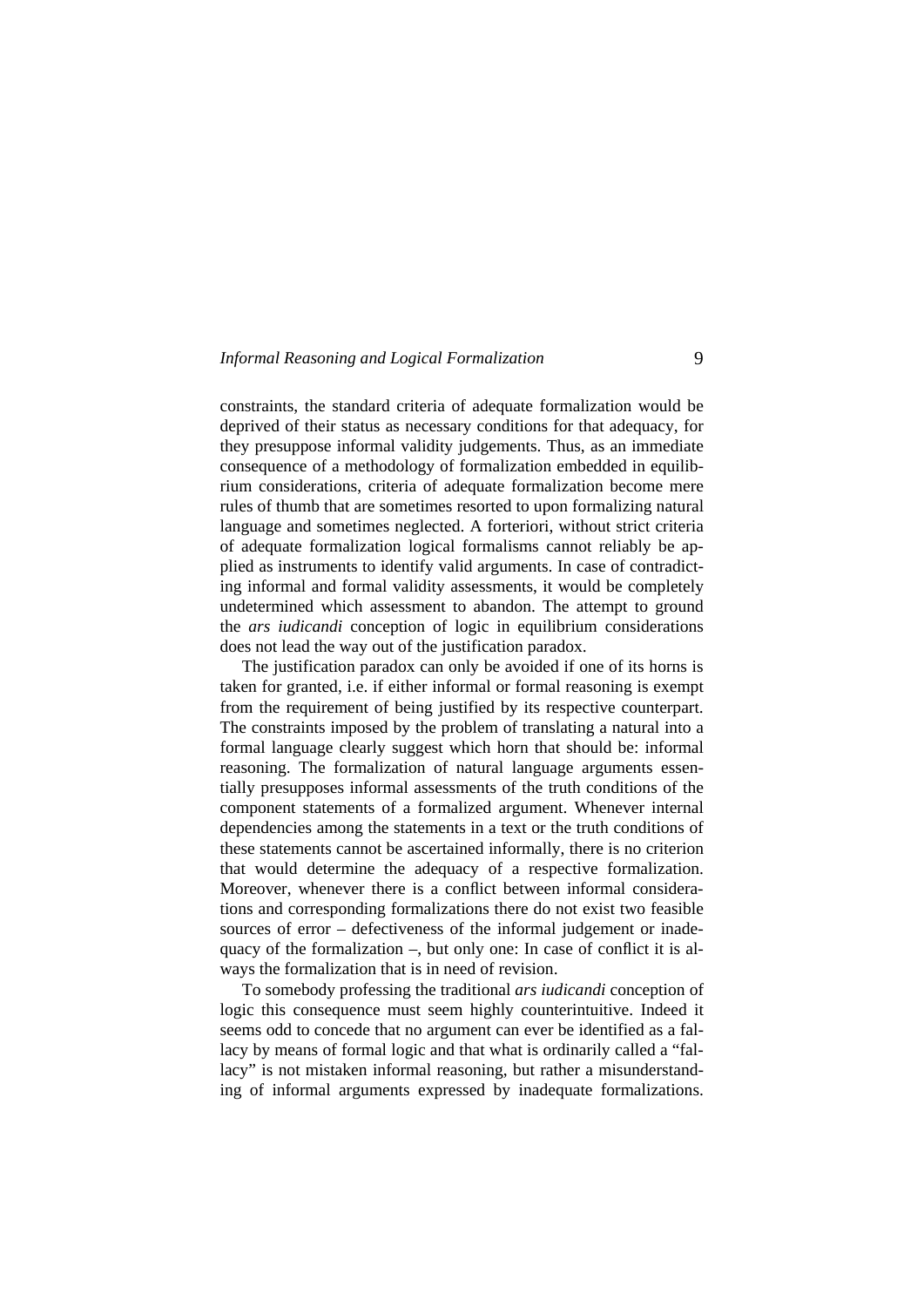constraints, the standard criteria of adequate formalization would be deprived of their status as necessary conditions for that adequacy, for they presuppose informal validity judgements. Thus, as an immediate consequence of a methodology of formalization embedded in equilibrium considerations, criteria of adequate formalization become mere rules of thumb that are sometimes resorted to upon formalizing natural language and sometimes neglected. A forteriori, without strict criteria of adequate formalization logical formalisms cannot reliably be applied as instruments to identify valid arguments. In case of contradicting informal and formal validity assessments, it would be completely undetermined which assessment to abandon. The attempt to ground the *ars iudicandi* conception of logic in equilibrium considerations does not lead the way out of the justification paradox.

The justification paradox can only be avoided if one of its horns is taken for granted, i.e. if either informal or formal reasoning is exempt from the requirement of being justified by its respective counterpart. The constraints imposed by the problem of translating a natural into a formal language clearly suggest which horn that should be: informal reasoning. The formalization of natural language arguments essentially presupposes informal assessments of the truth conditions of the component statements of a formalized argument. Whenever internal dependencies among the statements in a text or the truth conditions of these statements cannot be ascertained informally, there is no criterion that would determine the adequacy of a respective formalization. Moreover, whenever there is a conflict between informal considerations and corresponding formalizations there do not exist two feasible sources of error – defectiveness of the informal judgement or inadequacy of the formalization –, but only one: In case of conflict it is always the formalization that is in need of revision.

To somebody professing the traditional *ars iudicandi* conception of logic this consequence must seem highly counterintuitive. Indeed it seems odd to concede that no argument can ever be identified as a fallacy by means of formal logic and that what is ordinarily called a "fallacy" is not mistaken informal reasoning, but rather a misunderstanding of informal arguments expressed by inadequate formalizations.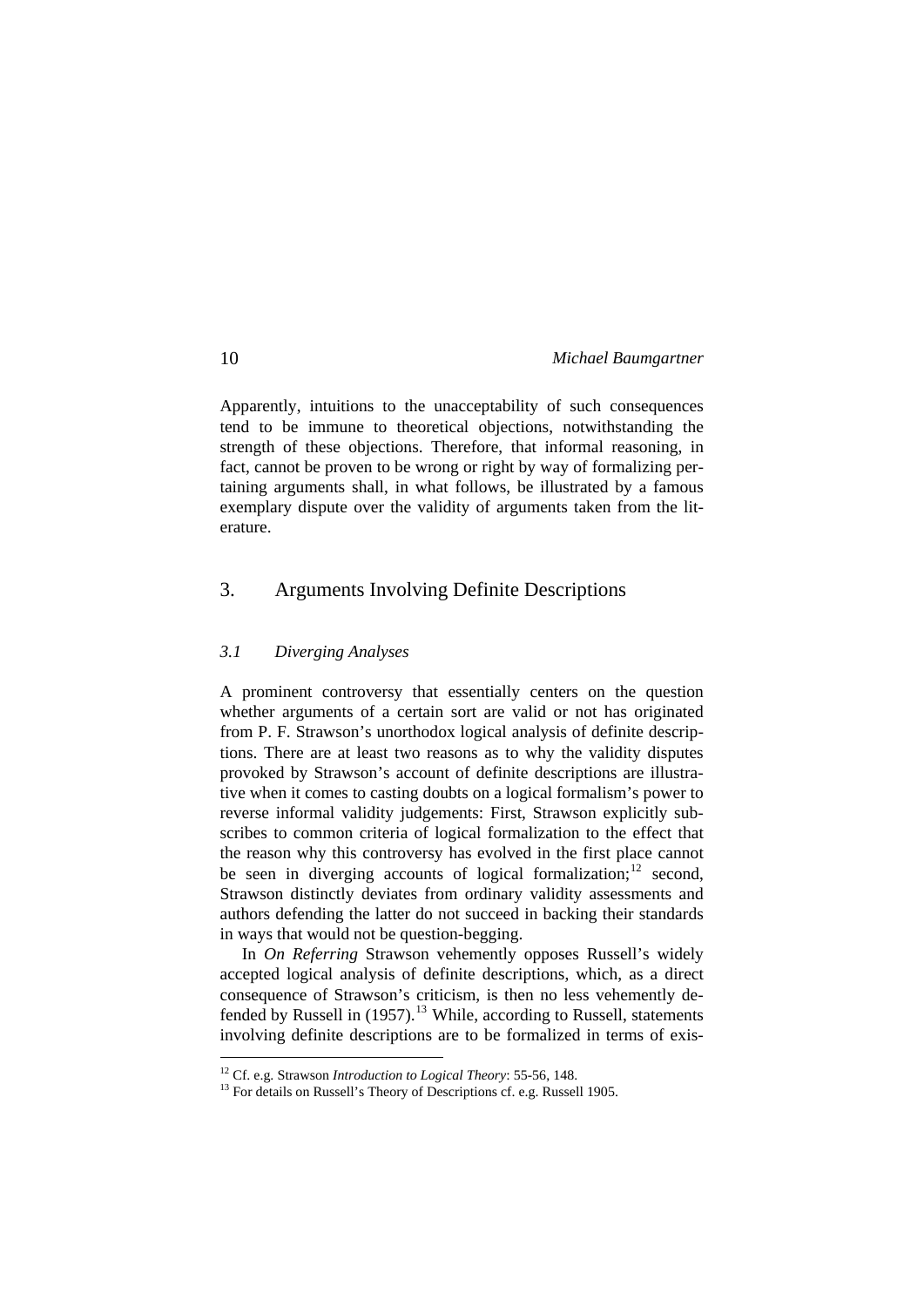Apparently, intuitions to the unacceptability of such consequences tend to be immune to theoretical objections, notwithstanding the strength of these objections. Therefore, that informal reasoning, in fact, cannot be proven to be wrong or right by way of formalizing pertaining arguments shall, in what follows, be illustrated by a famous exemplary dispute over the validity of arguments taken from the literature.

# 3. Arguments Involving Definite Descriptions

#### *3.1 Diverging Analyses*

A prominent controversy that essentially centers on the question whether arguments of a certain sort are valid or not has originated from P. F. Strawson's unorthodox logical analysis of definite descriptions. There are at least two reasons as to why the validity disputes provoked by Strawson's account of definite descriptions are illustrative when it comes to casting doubts on a logical formalism's power to reverse informal validity judgements: First, Strawson explicitly subscribes to common criteria of logical formalization to the effect that the reason why this controversy has evolved in the first place cannot be seen in diverging accounts of logical formalization;<sup>[12](#page-9-0)</sup> second, Strawson distinctly deviates from ordinary validity assessments and authors defending the latter do not succeed in backing their standards in ways that would not be question-begging.

 In *On Referring* Strawson vehemently opposes Russell's widely accepted logical analysis of definite descriptions, which, as a direct consequence of Strawson's criticism, is then no less vehemently defended by Russell in  $(1957)$ <sup>[13](#page-9-1)</sup> While, according to Russell, statements involving definite descriptions are to be formalized in terms of exis-

<span id="page-9-0"></span><sup>&</sup>lt;sup>12</sup> Cf. e.g. Strawson *Introduction to Logical Theory*: 55-56, 148.<br><sup>13</sup> For details on Russell's Theory of Descriptions cf. e.g. Russell 1905.

<span id="page-9-1"></span>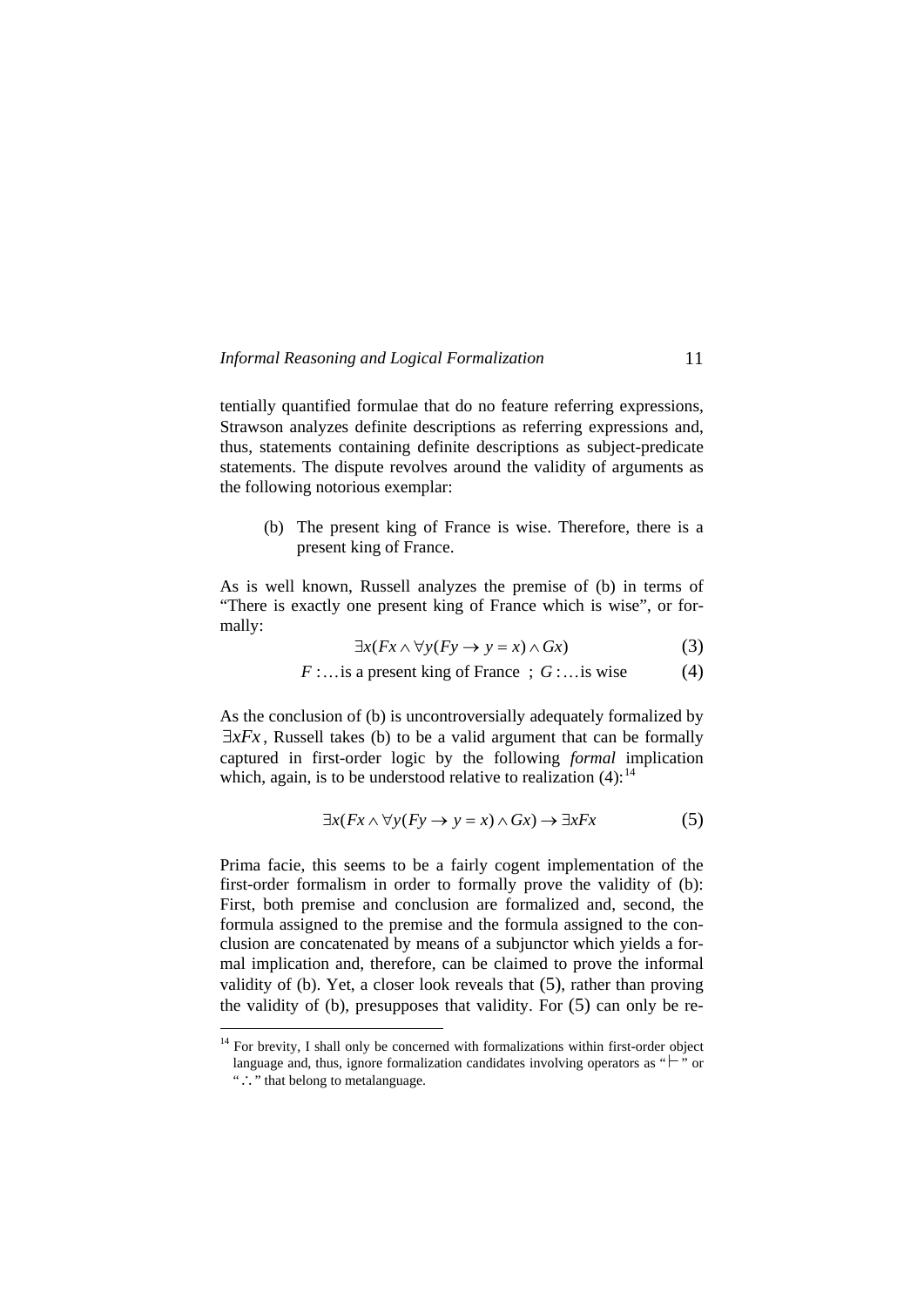tentially quantified formulae that do no feature referring expressions, Strawson analyzes definite descriptions as referring expressions and, thus, statements containing definite descriptions as subject-predicate statements. The dispute revolves around the validity of arguments as the following notorious exemplar:

(b) The present king of France is wise. Therefore, there is a present king of France.

As is well known, Russell analyzes the premise of (b) in terms of "There is exactly one present king of France which is wise", or formally:

$$
\exists x (Fx \land \forall y (Fy \to y = x) \land Gx) \tag{3}
$$

 $F$  :... is a present king of France ;  $G$  :... is wise (4)

<span id="page-10-1"></span>As the conclusion of (b) is uncontroversially adequately formalized by  $\exists xFx$ , Russell takes (b) to be a valid argument that can be formally captured in first-order logic by the following *formal* implication which, again, is to be understood relative to realization  $(4)$ :<sup>[14](#page-10-0)</sup>

$$
\exists x (Fx \land \forall y (Fy \to y = x) \land Gx) \to \exists xFx \tag{5}
$$

<span id="page-10-2"></span>Prima facie, this seems to be a fairly cogent implementation of the first-order formalism in order to formally prove the validity of (b): First, both premise and conclusion are formalized and, second, the formula assigned to the premise and the formula assigned to the conclusion are concatenated by means of a subjunctor which yields a formal implication and, therefore, can be claimed to prove the informal validity of (b). Yet, a closer look reveals that [\(5\),](#page-10-2) rather than proving the validity of (b), presupposes that validity. For  $(5)$  can only be re-

<span id="page-10-0"></span> $14$  For brevity, I shall only be concerned with formalizations within first-order object language and, thus, ignore formalization candidates involving operators as " $\vdash$ " or "∴" that belong to metalanguage.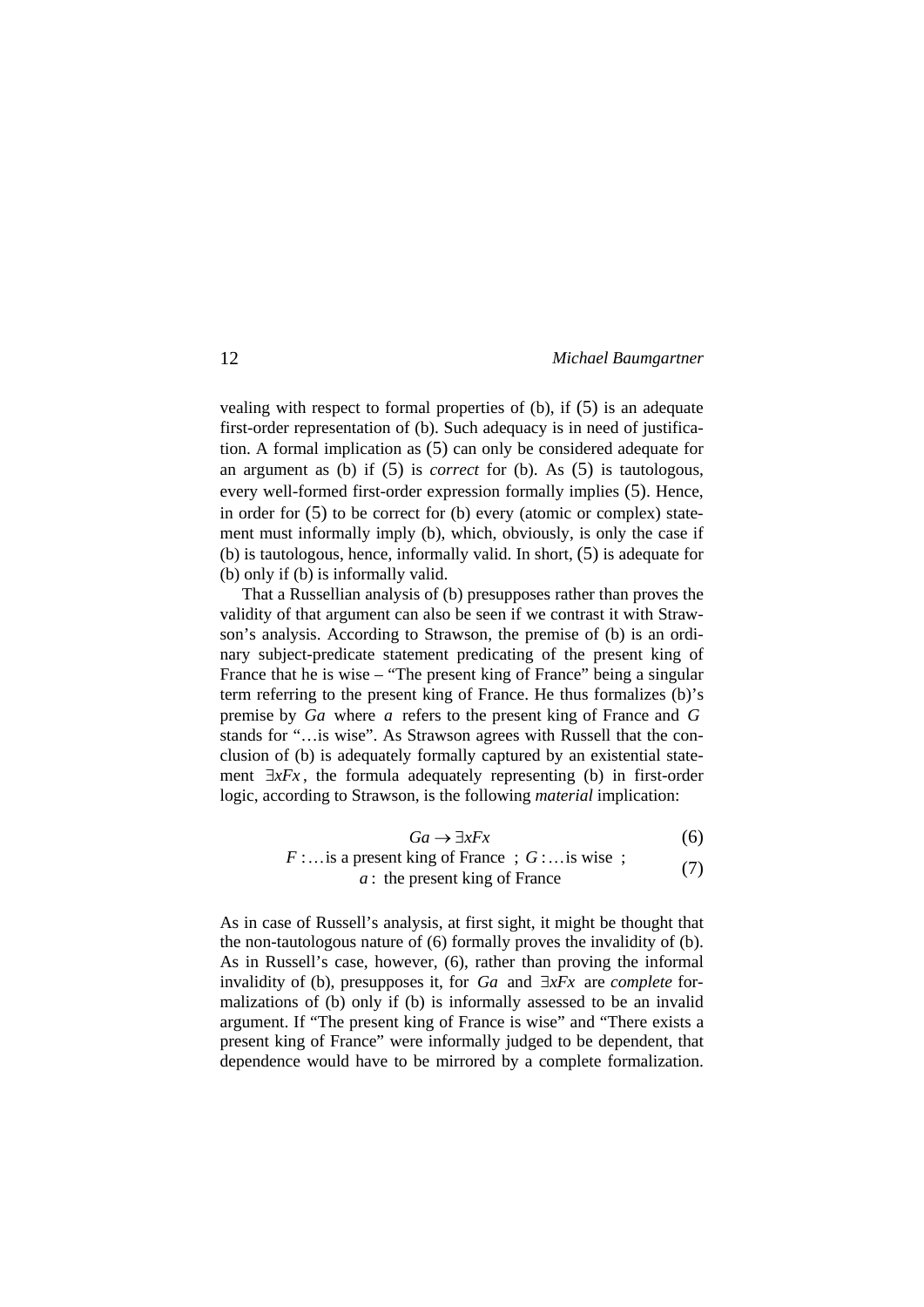vealing with respect to formal properties of (b), if [\(5\)](#page-10-2) is an adequate first-order representation of (b). Such adequacy is in need of justification. A formal implication as [\(5\)](#page-10-2) can only be considered adequate for an argument as (b) if [\(5\)](#page-10-2) is *correct* for (b). As [\(5\)](#page-10-2) is tautologous, every well-formed first-order expression formally implies [\(5\).](#page-10-2) Hence, in order for [\(5\)](#page-10-2) to be correct for (b) every (atomic or complex) statement must informally imply (b), which, obviously, is only the case if (b) is tautologous, hence, informally valid. In short, [\(5\)](#page-10-2) is adequate for (b) only if (b) is informally valid.

That a Russellian analysis of (b) presupposes rather than proves the validity of that argument can also be seen if we contrast it with Strawson's analysis. According to Strawson, the premise of (b) is an ordinary subject-predicate statement predicating of the present king of France that he is wise – "The present king of France" being a singular term referring to the present king of France. He thus formalizes (b)'s premise by Ga where a refers to the present king of France and G stands for "…is wise". As Strawson agrees with Russell that the conclusion of (b) is adequately formally captured by an existential statement  $\exists x Fx$ , the formula adequately representing (b) in first-order logic, according to Strawson, is the following *material* implication:

$$
Ga \to \exists x Fx \tag{6}
$$

$$
F: \dots
$$
 is a present king of France ;  $G: \dots$  is wise ;  
  $a$ : the present king of France (7)

<span id="page-11-0"></span>As in case of Russell's analysis, at first sight, it might be thought that the non-tautologous nature of [\(6\)](#page-11-0) formally proves the invalidity of (b). As in Russell's case, however, [\(6\)](#page-11-0), rather than proving the informal invalidity of (b), presupposes it, for *Ga* and ∃*xFx* are *complete* formalizations of (b) only if (b) is informally assessed to be an invalid argument. If "The present king of France is wise" and "There exists a present king of France" were informally judged to be dependent, that dependence would have to be mirrored by a complete formalization.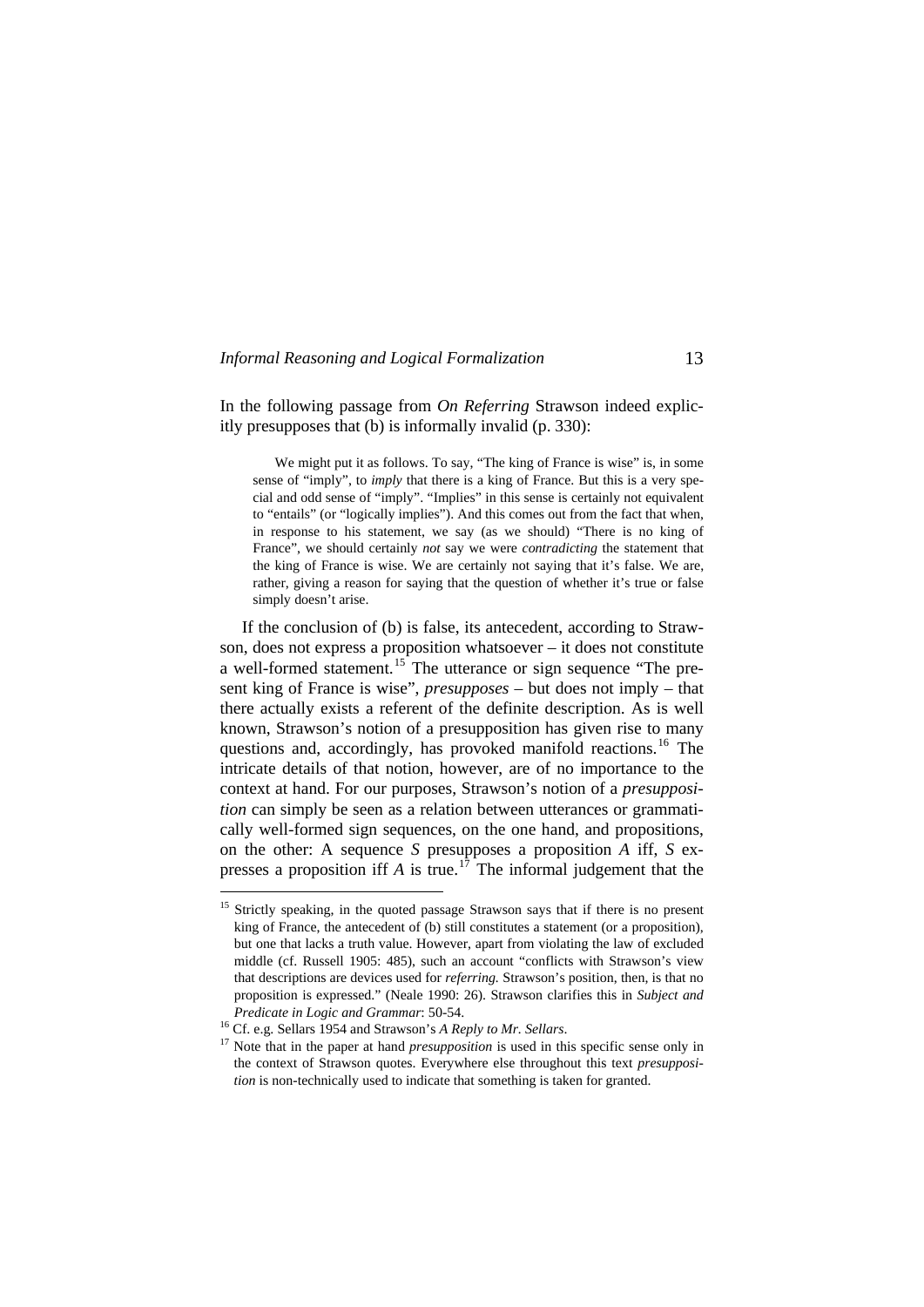In the following passage from *On Referring* Strawson indeed explicitly presupposes that (b) is informally invalid (p. 330):

We might put it as follows. To say, "The king of France is wise" is, in some sense of "imply", to *imply* that there is a king of France. But this is a very special and odd sense of "imply". "Implies" in this sense is certainly not equivalent to "entails" (or "logically implies"). And this comes out from the fact that when, in response to his statement, we say (as we should) "There is no king of France", we should certainly *not* say we were *contradicting* the statement that the king of France is wise. We are certainly not saying that it's false. We are, rather, giving a reason for saying that the question of whether it's true or false simply doesn't arise.

If the conclusion of (b) is false, its antecedent, according to Strawson, does not express a proposition whatsoever – it does not constitute a well-formed statement.<sup>[15](#page-12-0)</sup> The utterance or sign sequence "The present king of France is wise", *presupposes* – but does not imply – that there actually exists a referent of the definite description. As is well known, Strawson's notion of a presupposition has given rise to many questions and, accordingly, has provoked manifold reactions.<sup>[16](#page-12-1)</sup> The intricate details of that notion, however, are of no importance to the context at hand. For our purposes, Strawson's notion of a *presupposition* can simply be seen as a relation between utterances or grammatically well-formed sign sequences, on the one hand, and propositions, on the other: A sequence *S* presupposes a proposition *A* iff, *S* expresses a proposition iff *A* is true.<sup>[17](#page-12-2)</sup> The informal judgement that the

<span id="page-12-0"></span><sup>15</sup> Strictly speaking, in the quoted passage Strawson says that if there is no present king of France, the antecedent of (b) still constitutes a statement (or a proposition), but one that lacks a truth value. However, apart from violating the law of excluded middle (cf. Russell 1905: 485), such an account "conflicts with Strawson's view that descriptions are devices used for *referring.* Strawson's position, then, is that no proposition is expressed." (Neale 1990: 26). Strawson clarifies this in *Subject and Predicate in Logic and Grammar:* 50-54.<br><sup>16</sup> Cf. e.g. Sellars 1954 and Strawson's *A Reply to Mr. Sellars*.<br><sup>17</sup> Note that in the paper at hand *presupposition* is used in this specific sense only in

<span id="page-12-1"></span>

<span id="page-12-2"></span>the context of Strawson quotes. Everywhere else throughout this text *presupposition* is non-technically used to indicate that something is taken for granted.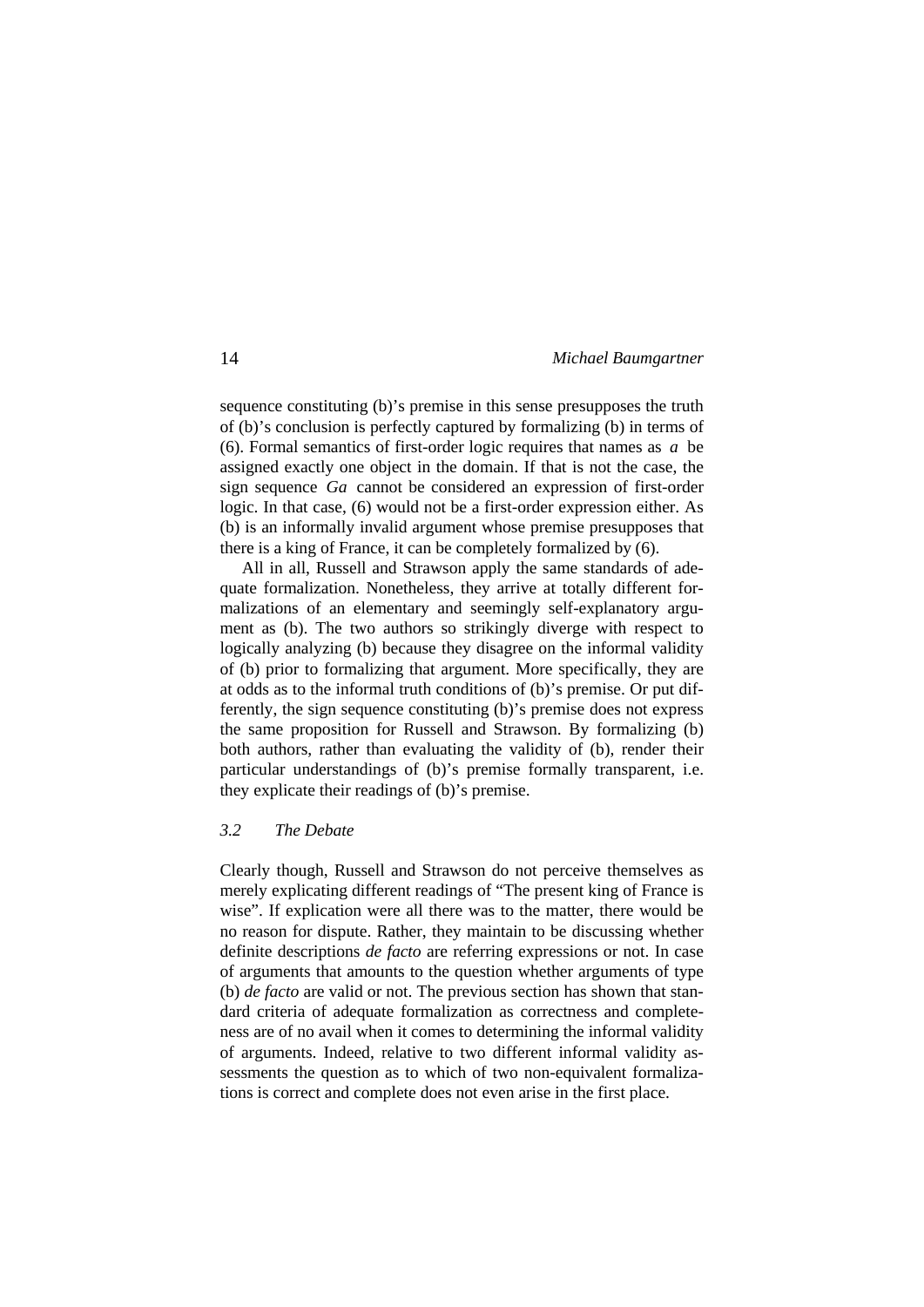sequence constituting (b)'s premise in this sense presupposes the truth of (b)'s conclusion is perfectly captured by formalizing (b) in terms of [\(6\).](#page-11-0) Formal semantics of first-order logic requires that names as  $a$  be assigned exactly one object in the domain. If that is not the case, the sign sequence Ga cannot be considered an expression of first-order logic. In that case, [\(6\)](#page-11-0) would not be a first-order expression either. As (b) is an informally invalid argument whose premise presupposes that there is a king of France, it can be completely formalized by [\(6\)](#page-11-0).

All in all, Russell and Strawson apply the same standards of adequate formalization. Nonetheless, they arrive at totally different formalizations of an elementary and seemingly self-explanatory argument as (b). The two authors so strikingly diverge with respect to logically analyzing (b) because they disagree on the informal validity of (b) prior to formalizing that argument. More specifically, they are at odds as to the informal truth conditions of (b)'s premise. Or put differently, the sign sequence constituting (b)'s premise does not express the same proposition for Russell and Strawson. By formalizing (b) both authors, rather than evaluating the validity of (b), render their particular understandings of (b)'s premise formally transparent, i.e. they explicate their readings of (b)'s premise.

#### *3.2 The Debate*

Clearly though, Russell and Strawson do not perceive themselves as merely explicating different readings of "The present king of France is wise". If explication were all there was to the matter, there would be no reason for dispute. Rather, they maintain to be discussing whether definite descriptions *de facto* are referring expressions or not. In case of arguments that amounts to the question whether arguments of type (b) *de facto* are valid or not. The previous section has shown that standard criteria of adequate formalization as correctness and completeness are of no avail when it comes to determining the informal validity of arguments. Indeed, relative to two different informal validity assessments the question as to which of two non-equivalent formalizations is correct and complete does not even arise in the first place.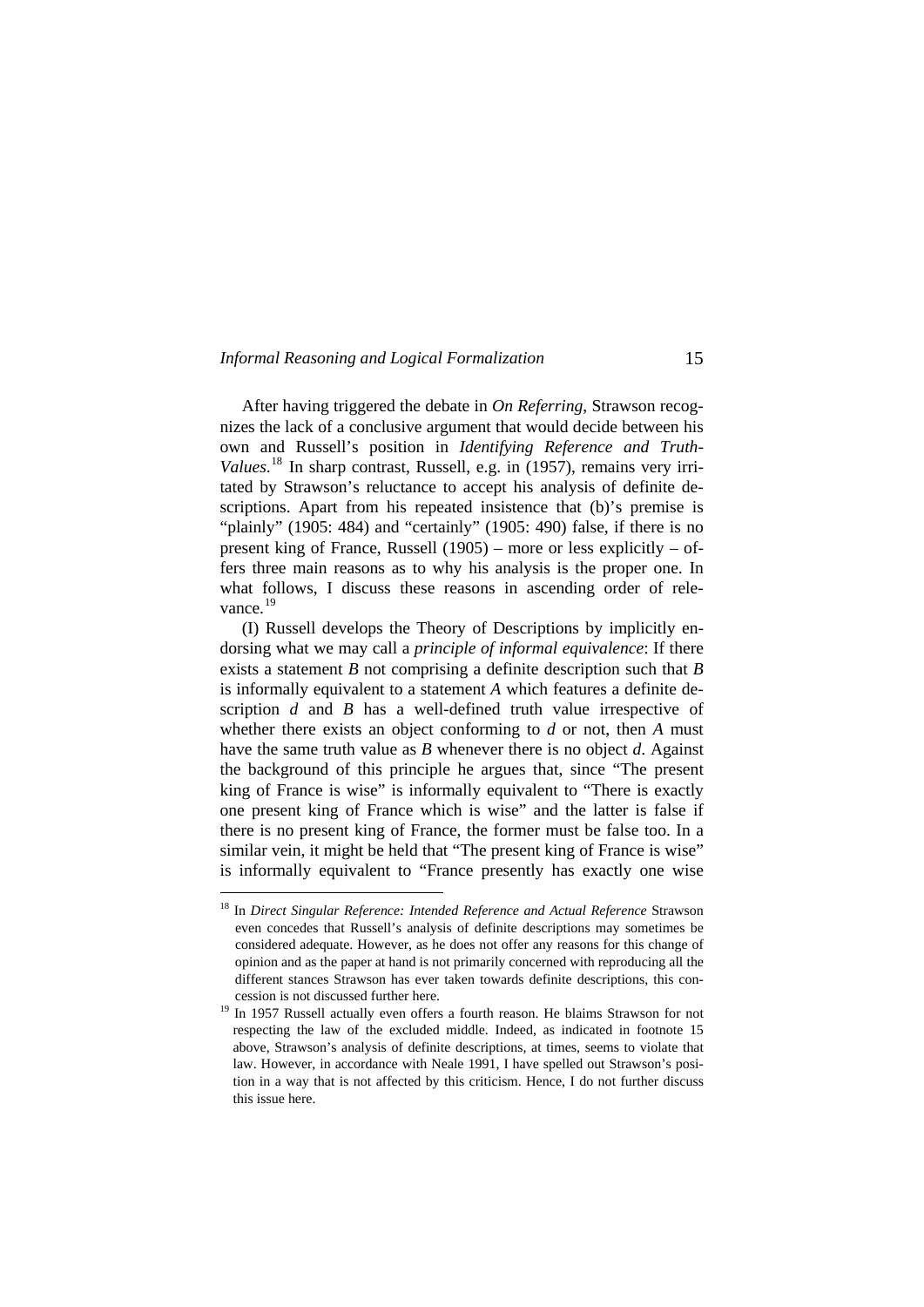After having triggered the debate in *On Referring*, Strawson recognizes the lack of a conclusive argument that would decide between his own and Russell's position in *Identifying Reference and Truth-Values*. [18](#page-14-0) In sharp contrast, Russell, e.g. in (1957), remains very irritated by Strawson's reluctance to accept his analysis of definite descriptions. Apart from his repeated insistence that (b)'s premise is "plainly" (1905: 484) and "certainly" (1905: 490) false, if there is no present king of France, Russell (1905) – more or less explicitly – offers three main reasons as to why his analysis is the proper one. In what follows, I discuss these reasons in ascending order of rele-vance.<sup>[19](#page-14-1)</sup>

 (I) Russell develops the Theory of Descriptions by implicitly endorsing what we may call a *principle of informal equivalence*: If there exists a statement *B* not comprising a definite description such that *B* is informally equivalent to a statement *A* which features a definite description *d* and *B* has a well-defined truth value irrespective of whether there exists an object conforming to *d* or not, then *A* must have the same truth value as *B* whenever there is no object *d*. Against the background of this principle he argues that, since "The present king of France is wise" is informally equivalent to "There is exactly one present king of France which is wise" and the latter is false if there is no present king of France, the former must be false too. In a similar vein, it might be held that "The present king of France is wise" is informally equivalent to "France presently has exactly one wise

<span id="page-14-0"></span><sup>18</sup> In *Direct Singular Reference: Intended Reference and Actual Reference* Strawson even concedes that Russell's analysis of definite descriptions may sometimes be considered adequate. However, as he does not offer any reasons for this change of opinion and as the paper at hand is not primarily concerned with reproducing all the different stances Strawson has ever taken towards definite descriptions, this con-

<span id="page-14-1"></span>cession is not discussed further here.  $19$  In 1957 Russell actually even offers a fourth reason. He blaims Strawson for not respecting the law of the excluded middle. Indeed, as indicated in footnote 15 above, Strawson's analysis of definite descriptions, at times, seems to violate that law. However, in accordance with Neale 1991, I have spelled out Strawson's position in a way that is not affected by this criticism. Hence, I do not further discuss this issue here.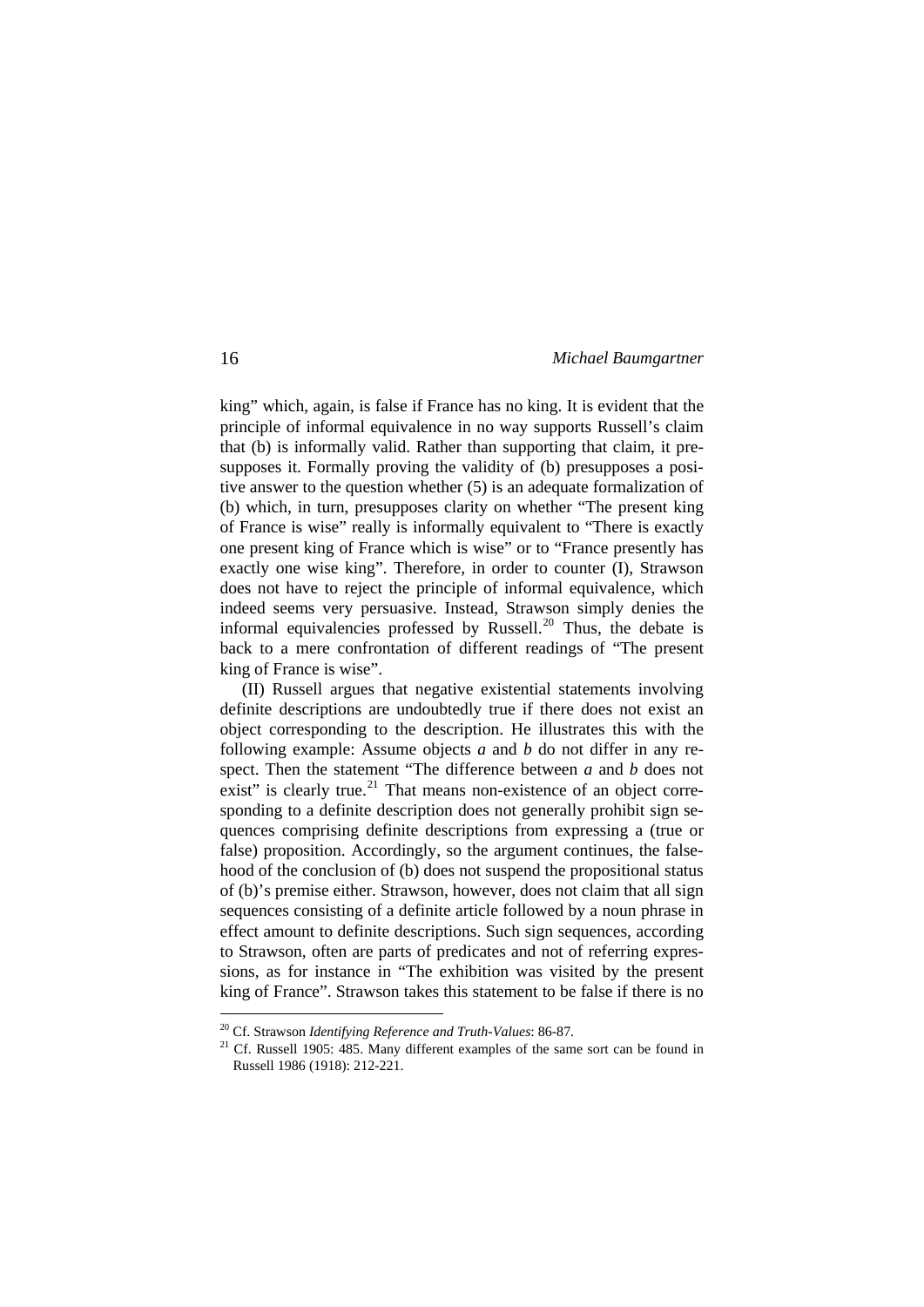king" which, again, is false if France has no king. It is evident that the principle of informal equivalence in no way supports Russell's claim that (b) is informally valid. Rather than supporting that claim, it presupposes it. Formally proving the validity of (b) presupposes a positive answer to the question whether (5) is an adequate formalization of (b) which, in turn, presupposes clarity on whether "The present king of France is wise" really is informally equivalent to "There is exactly one present king of France which is wise" or to "France presently has exactly one wise king". Therefore, in order to counter (I), Strawson does not have to reject the principle of informal equivalence, which indeed seems very persuasive. Instead, Strawson simply denies the informal equivalencies professed by Russell.<sup>[20](#page-15-0)</sup> Thus, the debate is back to a mere confrontation of different readings of "The present king of France is wise".

 (II) Russell argues that negative existential statements involving definite descriptions are undoubtedly true if there does not exist an object corresponding to the description. He illustrates this with the following example: Assume objects *a* and *b* do not differ in any respect. Then the statement "The difference between *a* and *b* does not exist" is clearly true.<sup>[21](#page-15-1)</sup> That means non-existence of an object corresponding to a definite description does not generally prohibit sign sequences comprising definite descriptions from expressing a (true or false) proposition. Accordingly, so the argument continues, the falsehood of the conclusion of (b) does not suspend the propositional status of (b)'s premise either. Strawson, however, does not claim that all sign sequences consisting of a definite article followed by a noun phrase in effect amount to definite descriptions. Such sign sequences, according to Strawson, often are parts of predicates and not of referring expressions, as for instance in "The exhibition was visited by the present king of France". Strawson takes this statement to be false if there is no

<span id="page-15-1"></span><span id="page-15-0"></span><sup>&</sup>lt;sup>20</sup> Cf. Strawson *Identifying Reference and Truth-Values*: 86-87.<br><sup>21</sup> Cf. Russell 1905: 485. Many different examples of the same sort can be found in Russell 1986 (1918): 212-221.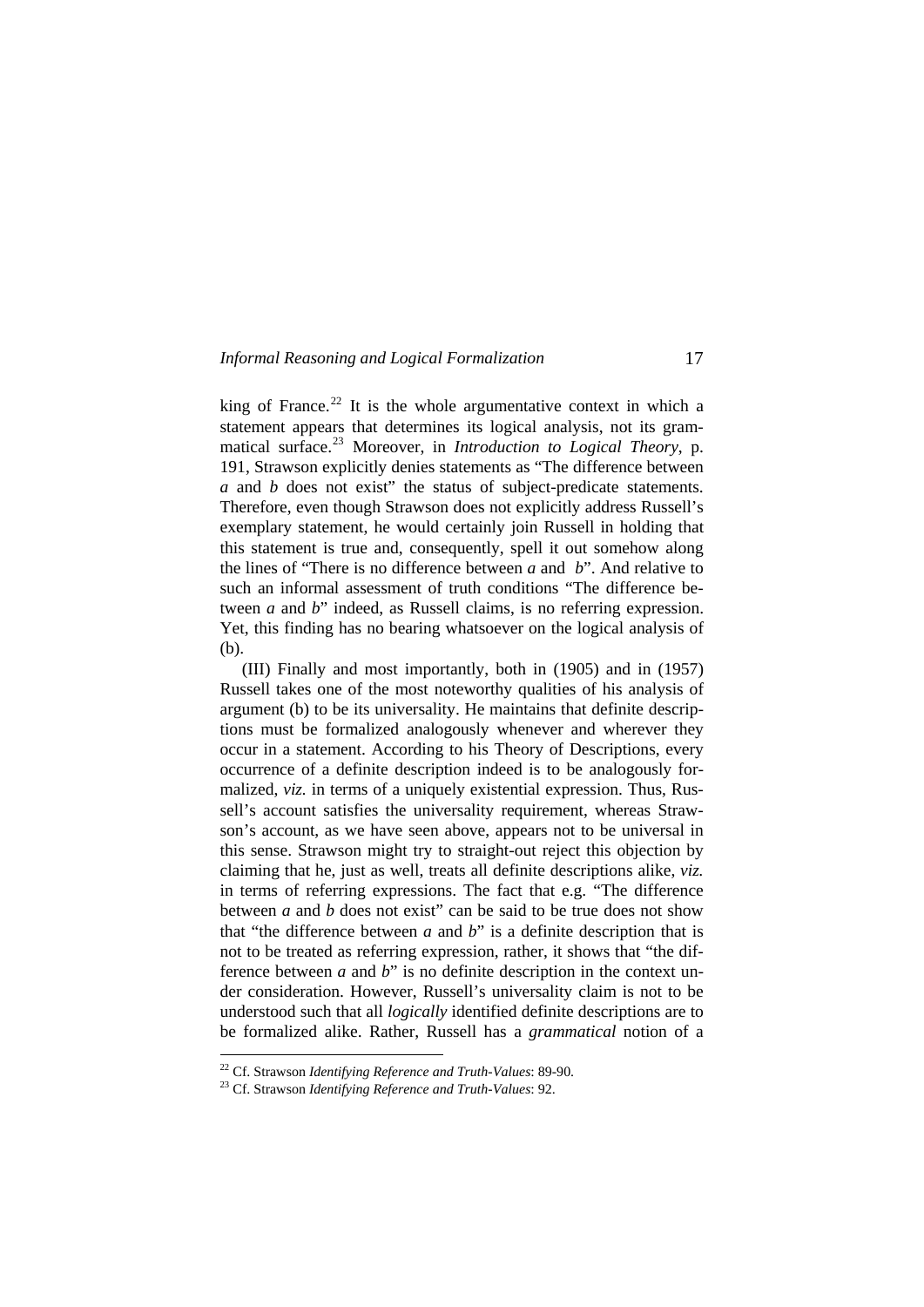king of France.<sup>[22](#page-16-0)</sup> It is the whole argumentative context in which a statement appears that determines its logical analysis, not its grammatical surface.[23](#page-16-1) Moreover, in *Introduction to Logical Theory*, p. 191, Strawson explicitly denies statements as "The difference between *a* and *b* does not exist" the status of subject-predicate statements. Therefore, even though Strawson does not explicitly address Russell's exemplary statement, he would certainly join Russell in holding that this statement is true and, consequently, spell it out somehow along the lines of "There is no difference between *a* and *b*". And relative to such an informal assessment of truth conditions "The difference between *a* and *b*" indeed, as Russell claims, is no referring expression. Yet, this finding has no bearing whatsoever on the logical analysis of (b).

 (III) Finally and most importantly, both in (1905) and in (1957) Russell takes one of the most noteworthy qualities of his analysis of argument (b) to be its universality. He maintains that definite descriptions must be formalized analogously whenever and wherever they occur in a statement. According to his Theory of Descriptions, every occurrence of a definite description indeed is to be analogously formalized, *viz.* in terms of a uniquely existential expression. Thus, Russell's account satisfies the universality requirement, whereas Strawson's account, as we have seen above, appears not to be universal in this sense. Strawson might try to straight-out reject this objection by claiming that he, just as well, treats all definite descriptions alike, *viz.*  in terms of referring expressions. The fact that e.g. "The difference between *a* and *b* does not exist" can be said to be true does not show that "the difference between *a* and *b*" is a definite description that is not to be treated as referring expression, rather, it shows that "the difference between *a* and *b*" is no definite description in the context under consideration. However, Russell's universality claim is not to be understood such that all *logically* identified definite descriptions are to be formalized alike. Rather, Russell has a *grammatical* notion of a

<span id="page-16-1"></span><span id="page-16-0"></span><sup>22</sup> Cf. Strawson *Identifying Reference and Truth-Values*: 89-90. 23 Cf. Strawson *Identifying Reference and Truth-Values*: 92.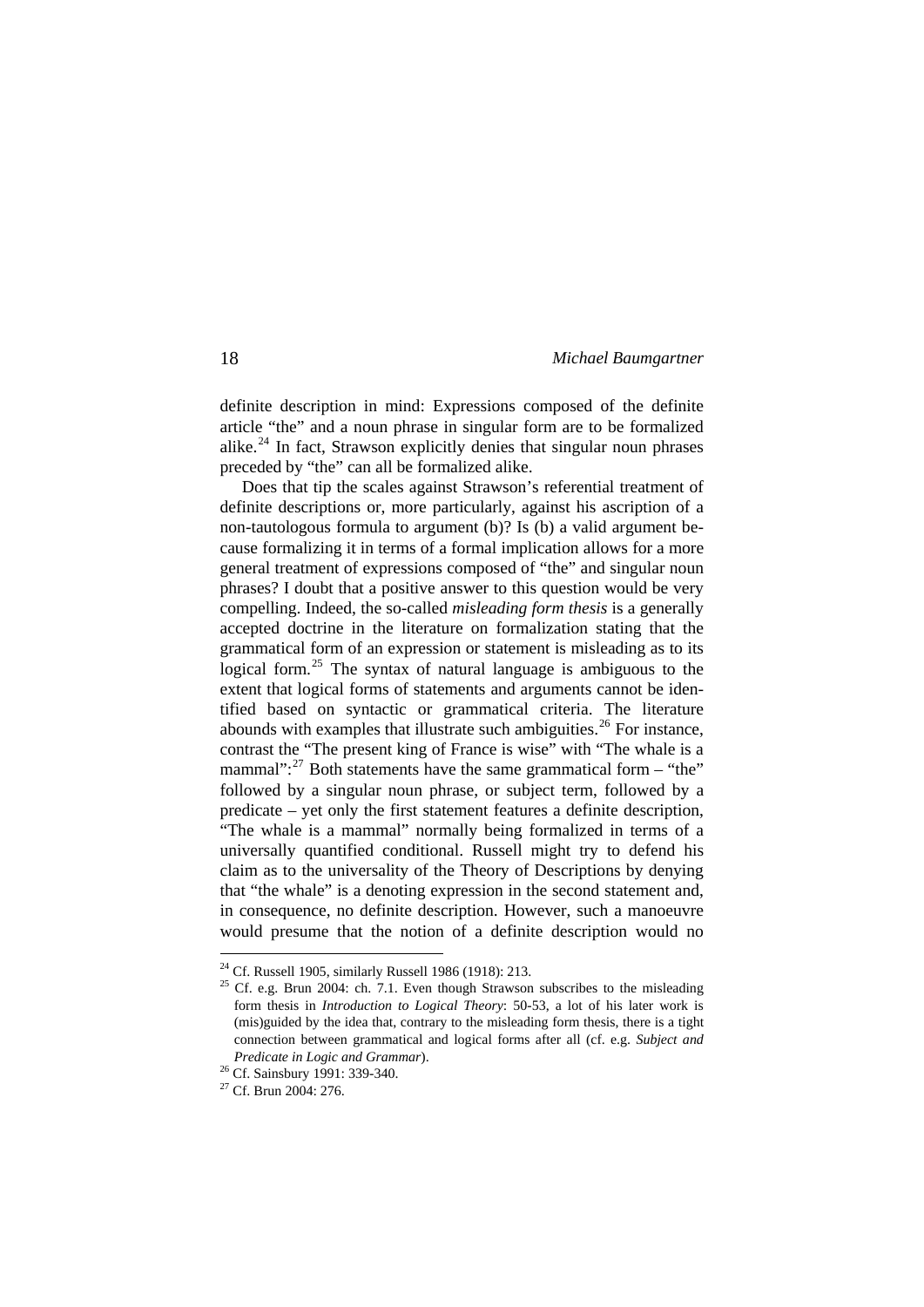definite description in mind: Expressions composed of the definite article "the" and a noun phrase in singular form are to be formalized alike.<sup>[24](#page-17-0)</sup> In fact, Strawson explicitly denies that singular noun phrases preceded by "the" can all be formalized alike.

 Does that tip the scales against Strawson's referential treatment of definite descriptions or, more particularly, against his ascription of a non-tautologous formula to argument (b)? Is (b) a valid argument because formalizing it in terms of a formal implication allows for a more general treatment of expressions composed of "the" and singular noun phrases? I doubt that a positive answer to this question would be very compelling. Indeed, the so-called *misleading form thesis* is a generally accepted doctrine in the literature on formalization stating that the grammatical form of an expression or statement is misleading as to its logical form.<sup>[25](#page-17-1)</sup> The syntax of natural language is ambiguous to the extent that logical forms of statements and arguments cannot be identified based on syntactic or grammatical criteria. The literature abounds with examples that illustrate such ambiguities.<sup>[26](#page-17-2)</sup> For instance, contrast the "The present king of France is wise" with "The whale is a mammal": $^{27}$  $^{27}$  $^{27}$  Both statements have the same grammatical form – "the" followed by a singular noun phrase, or subject term, followed by a predicate – yet only the first statement features a definite description, "The whale is a mammal" normally being formalized in terms of a universally quantified conditional. Russell might try to defend his claim as to the universality of the Theory of Descriptions by denying that "the whale" is a denoting expression in the second statement and, in consequence, no definite description. However, such a manoeuvre would presume that the notion of a definite description would no

<span id="page-17-0"></span><sup>24</sup> Cf. Russell 1905, similarly Russell 1986 (1918): 213.

<span id="page-17-1"></span><sup>&</sup>lt;sup>25</sup> Cf. e.g. Brun 2004: ch. 7.1. Even though Strawson subscribes to the misleading form thesis in *Introduction to Logical Theory*: 50-53, a lot of his later work is (mis)guided by the idea that, contrary to the misleading form thesis, there is a tight connection between grammatical and logical forms after all (cf. e.g. *Subject and Predicate in Logic and Grammar*). 26 Cf. Sainsbury 1991: 339-340.

<span id="page-17-3"></span><span id="page-17-2"></span><sup>&</sup>lt;sup>27</sup> Cf. Brun 2004: 276.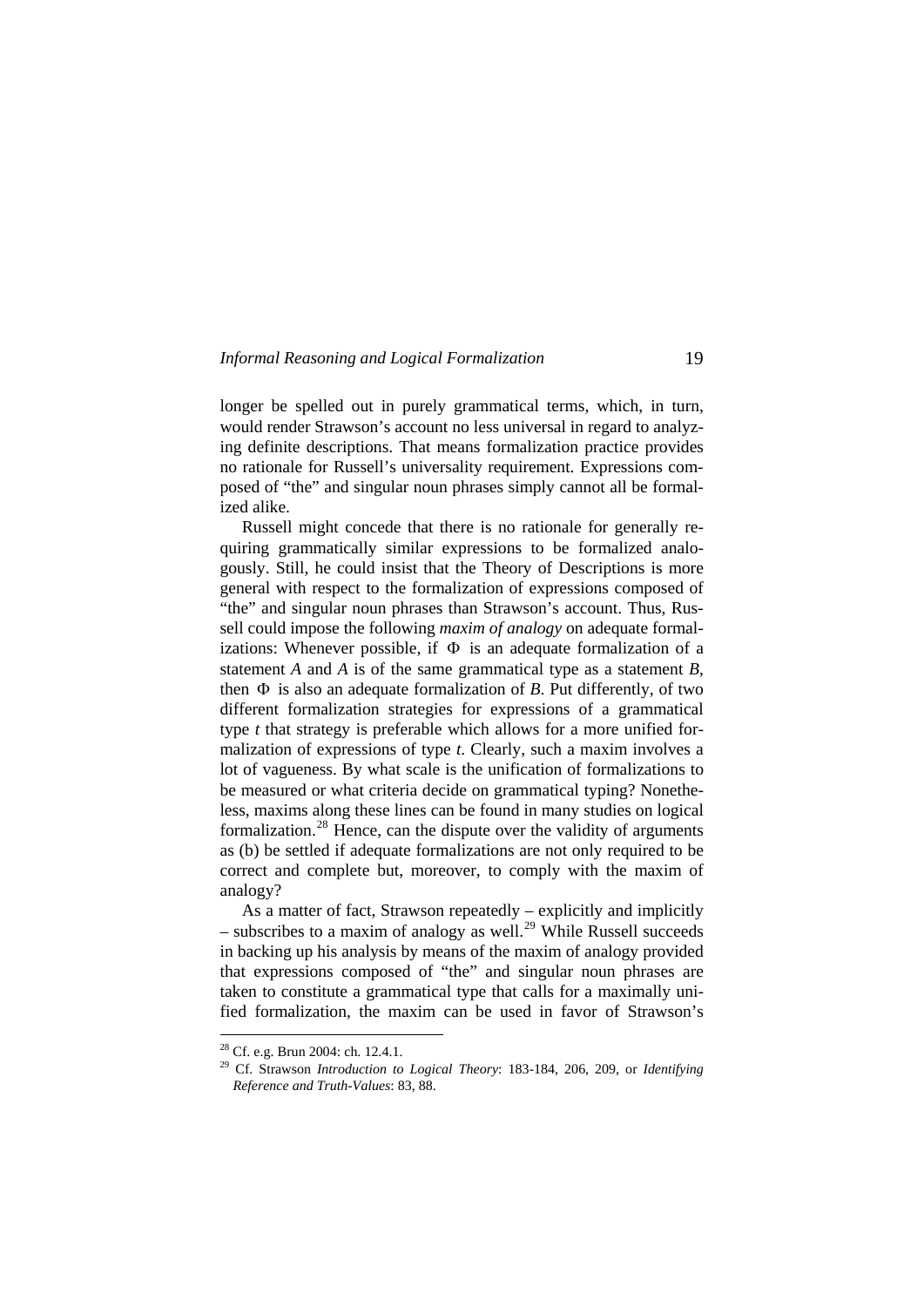longer be spelled out in purely grammatical terms, which, in turn, would render Strawson's account no less universal in regard to analyzing definite descriptions. That means formalization practice provides no rationale for Russell's universality requirement. Expressions composed of "the" and singular noun phrases simply cannot all be formalized alike.

Russell might concede that there is no rationale for generally requiring grammatically similar expressions to be formalized analogously. Still, he could insist that the Theory of Descriptions is more general with respect to the formalization of expressions composed of "the" and singular noun phrases than Strawson's account. Thus, Russell could impose the following *maxim of analogy* on adequate formalizations: Whenever possible, if  $\Phi$  is an adequate formalization of a statement *A* and *A* is of the same grammatical type as a statement *B*, then  $\Phi$  is also an adequate formalization of *B*. Put differently, of two different formalization strategies for expressions of a grammatical type *t* that strategy is preferable which allows for a more unified formalization of expressions of type *t*. Clearly, such a maxim involves a lot of vagueness. By what scale is the unification of formalizations to be measured or what criteria decide on grammatical typing? Nonetheless, maxims along these lines can be found in many studies on logical formalization.<sup>[28](#page-18-0)</sup> Hence, can the dispute over the validity of arguments as (b) be settled if adequate formalizations are not only required to be correct and complete but, moreover, to comply with the maxim of analogy?

As a matter of fact, Strawson repeatedly – explicitly and implicitly – subscribes to a maxim of analogy as well.<sup>[29](#page-18-1)</sup> While Russell succeeds in backing up his analysis by means of the maxim of analogy provided that expressions composed of "the" and singular noun phrases are taken to constitute a grammatical type that calls for a maximally unified formalization, the maxim can be used in favor of Strawson's

<span id="page-18-0"></span><sup>28</sup> Cf. e.g. Brun 2004: ch. 12.4.1.

<span id="page-18-1"></span><sup>29</sup> Cf. Strawson *Introduction to Logical Theory*: 183-184, 206, 209, or *Identifying Reference and Truth-Values*: 83, 88.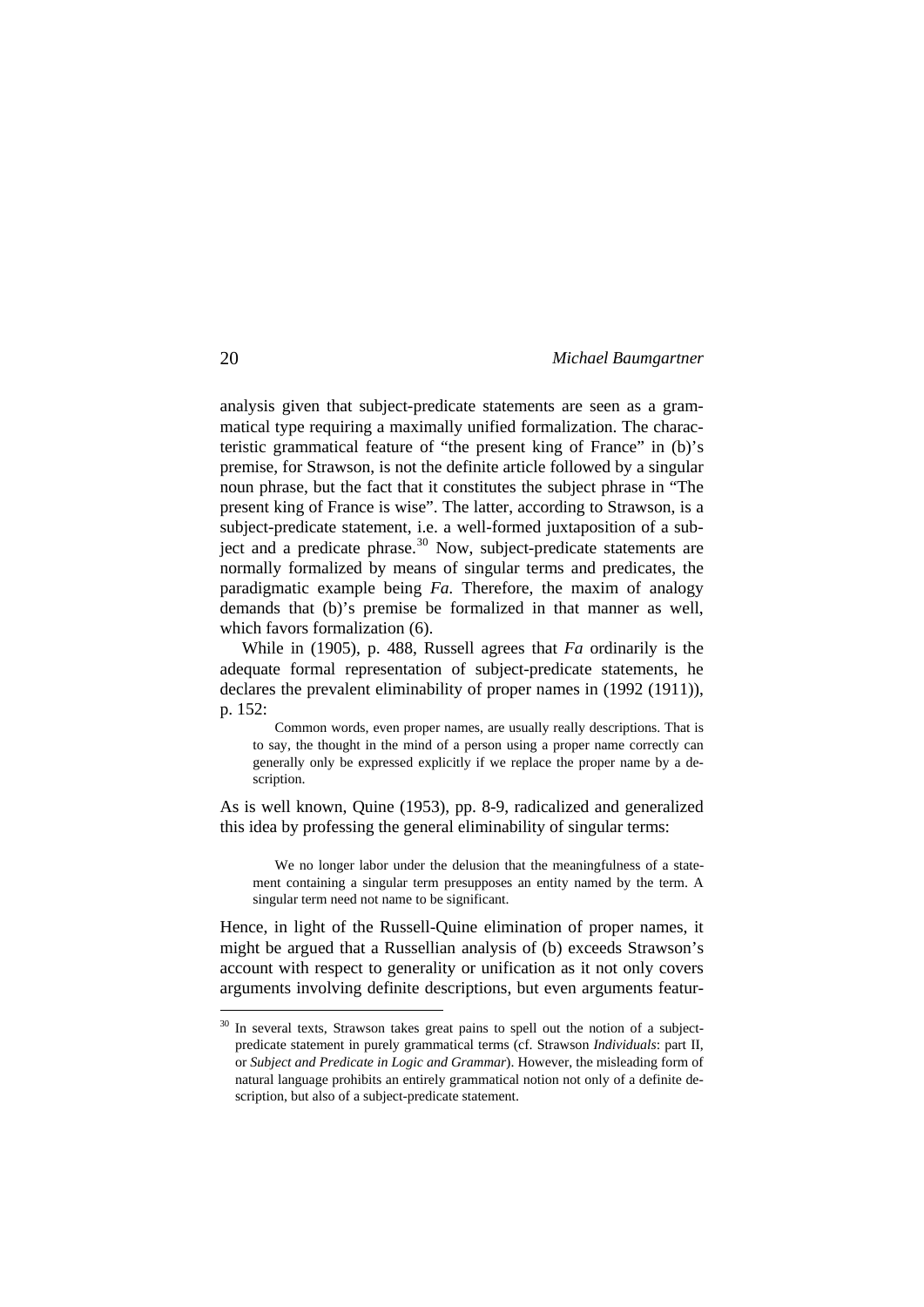analysis given that subject-predicate statements are seen as a grammatical type requiring a maximally unified formalization. The characteristic grammatical feature of "the present king of France" in (b)'s premise, for Strawson, is not the definite article followed by a singular noun phrase, but the fact that it constitutes the subject phrase in "The present king of France is wise". The latter, according to Strawson, is a subject-predicate statement, i.e. a well-formed juxtaposition of a sub-ject and a predicate phrase.<sup>[30](#page-19-0)</sup> Now, subject-predicate statements are normally formalized by means of singular terms and predicates, the paradigmatic example being *Fa.* Therefore, the maxim of analogy demands that (b)'s premise be formalized in that manner as well, which favors formalization (6).

While in (1905), p. 488, Russell agrees that *Fa* ordinarily is the adequate formal representation of subject-predicate statements, he declares the prevalent eliminability of proper names in (1992 (1911)), p. 152:

Common words, even proper names, are usually really descriptions. That is to say, the thought in the mind of a person using a proper name correctly can generally only be expressed explicitly if we replace the proper name by a description.

As is well known, Quine (1953), pp. 8-9, radicalized and generalized this idea by professing the general eliminability of singular terms:

We no longer labor under the delusion that the meaningfulness of a statement containing a singular term presupposes an entity named by the term. A singular term need not name to be significant.

Hence, in light of the Russell-Quine elimination of proper names, it might be argued that a Russellian analysis of (b) exceeds Strawson's account with respect to generality or unification as it not only covers arguments involving definite descriptions, but even arguments featur-

<span id="page-19-0"></span> $30$  In several texts, Strawson takes great pains to spell out the notion of a subjectpredicate statement in purely grammatical terms (cf. Strawson *Individuals*: part II, or *Subject and Predicate in Logic and Grammar*). However, the misleading form of natural language prohibits an entirely grammatical notion not only of a definite description, but also of a subject-predicate statement.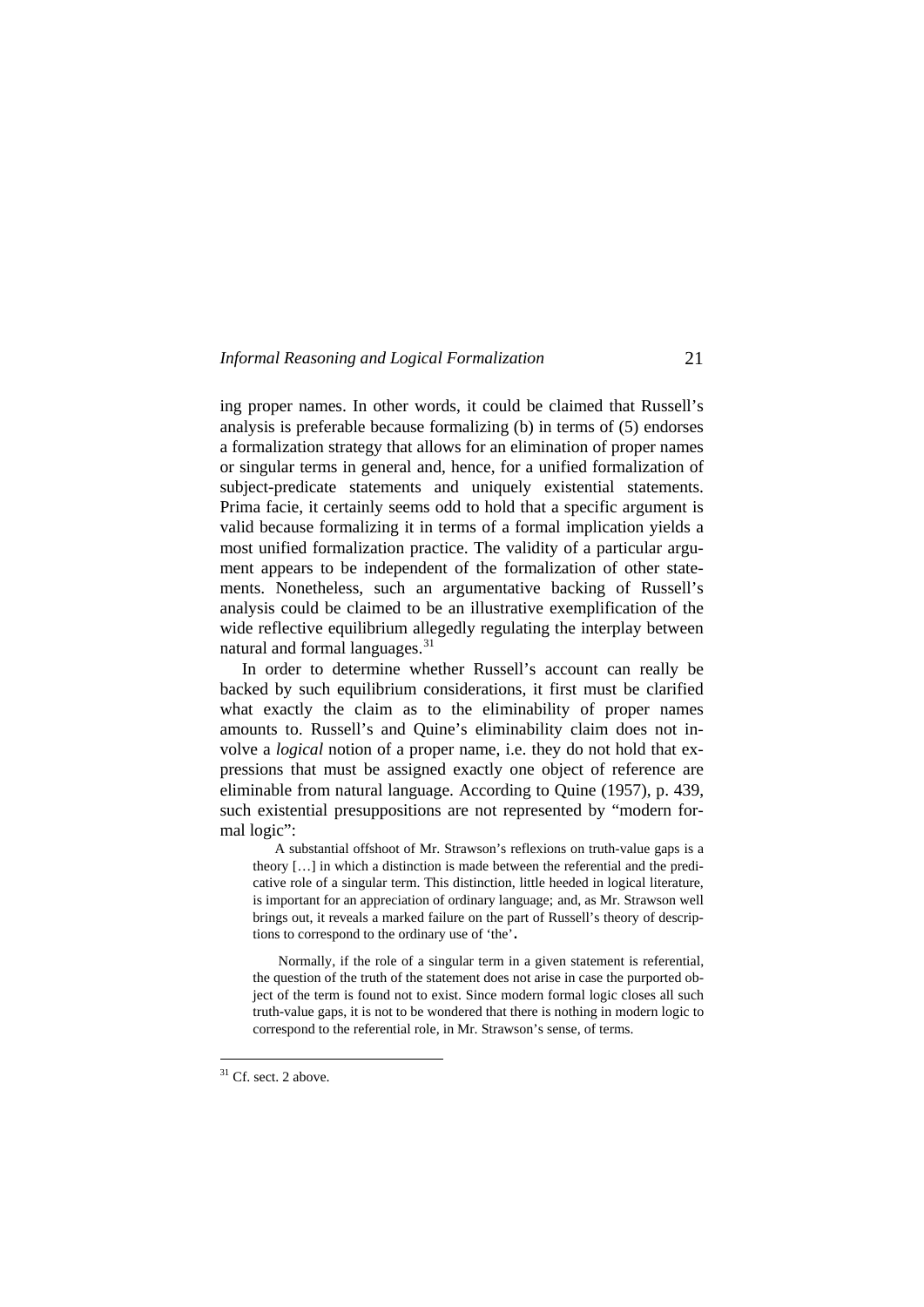ing proper names. In other words, it could be claimed that Russell's analysis is preferable because formalizing (b) in terms of (5) endorses a formalization strategy that allows for an elimination of proper names or singular terms in general and, hence, for a unified formalization of subject-predicate statements and uniquely existential statements. Prima facie, it certainly seems odd to hold that a specific argument is valid because formalizing it in terms of a formal implication yields a most unified formalization practice. The validity of a particular argument appears to be independent of the formalization of other statements. Nonetheless, such an argumentative backing of Russell's analysis could be claimed to be an illustrative exemplification of the wide reflective equilibrium allegedly regulating the interplay between natural and formal languages.<sup>[31](#page-20-0)</sup>

 In order to determine whether Russell's account can really be backed by such equilibrium considerations, it first must be clarified what exactly the claim as to the eliminability of proper names amounts to. Russell's and Quine's eliminability claim does not involve a *logical* notion of a proper name, i.e. they do not hold that expressions that must be assigned exactly one object of reference are eliminable from natural language. According to Quine (1957), p. 439, such existential presuppositions are not represented by "modern formal logic":

A substantial offshoot of Mr. Strawson's reflexions on truth-value gaps is a theory […] in which a distinction is made between the referential and the predicative role of a singular term. This distinction, little heeded in logical literature, is important for an appreciation of ordinary language; and, as Mr. Strawson well brings out, it reveals a marked failure on the part of Russell's theory of descriptions to correspond to the ordinary use of 'the'.

 Normally, if the role of a singular term in a given statement is referential, the question of the truth of the statement does not arise in case the purported object of the term is found not to exist. Since modern formal logic closes all such truth-value gaps, it is not to be wondered that there is nothing in modern logic to correspond to the referential role, in Mr. Strawson's sense, of terms.

<span id="page-20-0"></span> $31$  Cf. sect. 2 above.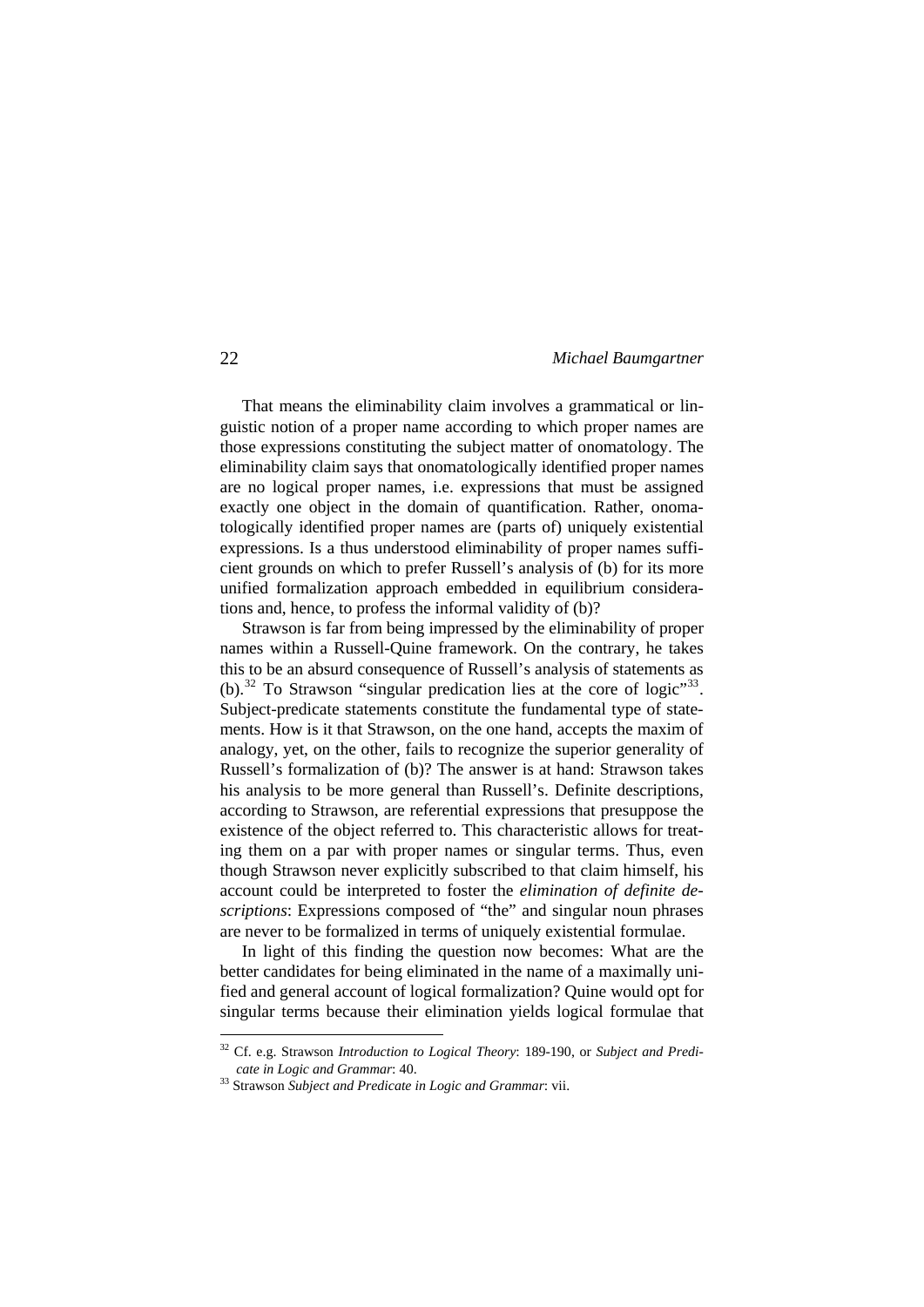That means the eliminability claim involves a grammatical or linguistic notion of a proper name according to which proper names are those expressions constituting the subject matter of onomatology. The eliminability claim says that onomatologically identified proper names are no logical proper names, i.e. expressions that must be assigned exactly one object in the domain of quantification. Rather, onomatologically identified proper names are (parts of) uniquely existential expressions. Is a thus understood eliminability of proper names sufficient grounds on which to prefer Russell's analysis of (b) for its more unified formalization approach embedded in equilibrium considerations and, hence, to profess the informal validity of (b)?

 Strawson is far from being impressed by the eliminability of proper names within a Russell-Quine framework. On the contrary, he takes this to be an absurd consequence of Russell's analysis of statements as (b).<sup>[32](#page-21-0)</sup> To Strawson "singular predication lies at the core of logic"<sup>[33](#page-21-1)</sup>. Subject-predicate statements constitute the fundamental type of statements. How is it that Strawson, on the one hand, accepts the maxim of analogy, yet, on the other, fails to recognize the superior generality of Russell's formalization of (b)? The answer is at hand: Strawson takes his analysis to be more general than Russell's. Definite descriptions, according to Strawson, are referential expressions that presuppose the existence of the object referred to. This characteristic allows for treating them on a par with proper names or singular terms. Thus, even though Strawson never explicitly subscribed to that claim himself, his account could be interpreted to foster the *elimination of definite descriptions*: Expressions composed of "the" and singular noun phrases are never to be formalized in terms of uniquely existential formulae.

In light of this finding the question now becomes: What are the better candidates for being eliminated in the name of a maximally unified and general account of logical formalization? Quine would opt for singular terms because their elimination yields logical formulae that

<span id="page-21-0"></span><sup>32</sup> Cf. e.g. Strawson *Introduction to Logical Theory*: 189-190, or *Subject and Predicate in Logic and Grammar*: 40. 33 Strawson *Subject and Predicate in Logic and Grammar*: vii.

<span id="page-21-1"></span>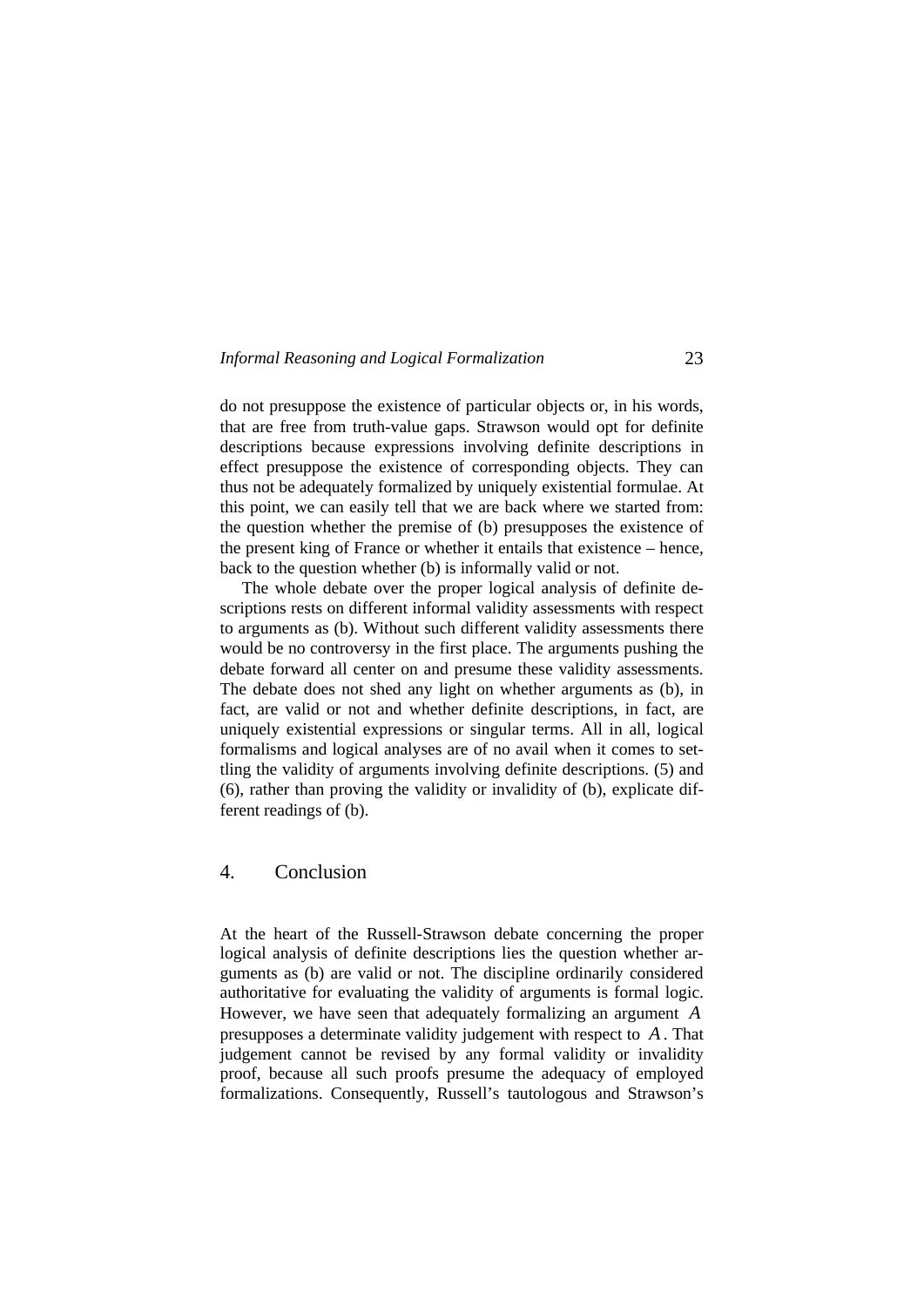do not presuppose the existence of particular objects or, in his words, that are free from truth-value gaps. Strawson would opt for definite descriptions because expressions involving definite descriptions in effect presuppose the existence of corresponding objects. They can thus not be adequately formalized by uniquely existential formulae. At this point, we can easily tell that we are back where we started from: the question whether the premise of (b) presupposes the existence of the present king of France or whether it entails that existence – hence, back to the question whether (b) is informally valid or not.

The whole debate over the proper logical analysis of definite descriptions rests on different informal validity assessments with respect to arguments as (b). Without such different validity assessments there would be no controversy in the first place. The arguments pushing the debate forward all center on and presume these validity assessments. The debate does not shed any light on whether arguments as (b), in fact, are valid or not and whether definite descriptions, in fact, are uniquely existential expressions or singular terms. All in all, logical formalisms and logical analyses are of no avail when it comes to settling the validity of arguments involving definite descriptions. (5) and (6), rather than proving the validity or invalidity of (b), explicate different readings of (b).

#### 4. Conclusion

At the heart of the Russell-Strawson debate concerning the proper logical analysis of definite descriptions lies the question whether arguments as (b) are valid or not. The discipline ordinarily considered authoritative for evaluating the validity of arguments is formal logic. However, we have seen that adequately formalizing an argument *A* presupposes a determinate validity judgement with respect to *A* . That judgement cannot be revised by any formal validity or invalidity proof, because all such proofs presume the adequacy of employed formalizations. Consequently, Russell's tautologous and Strawson's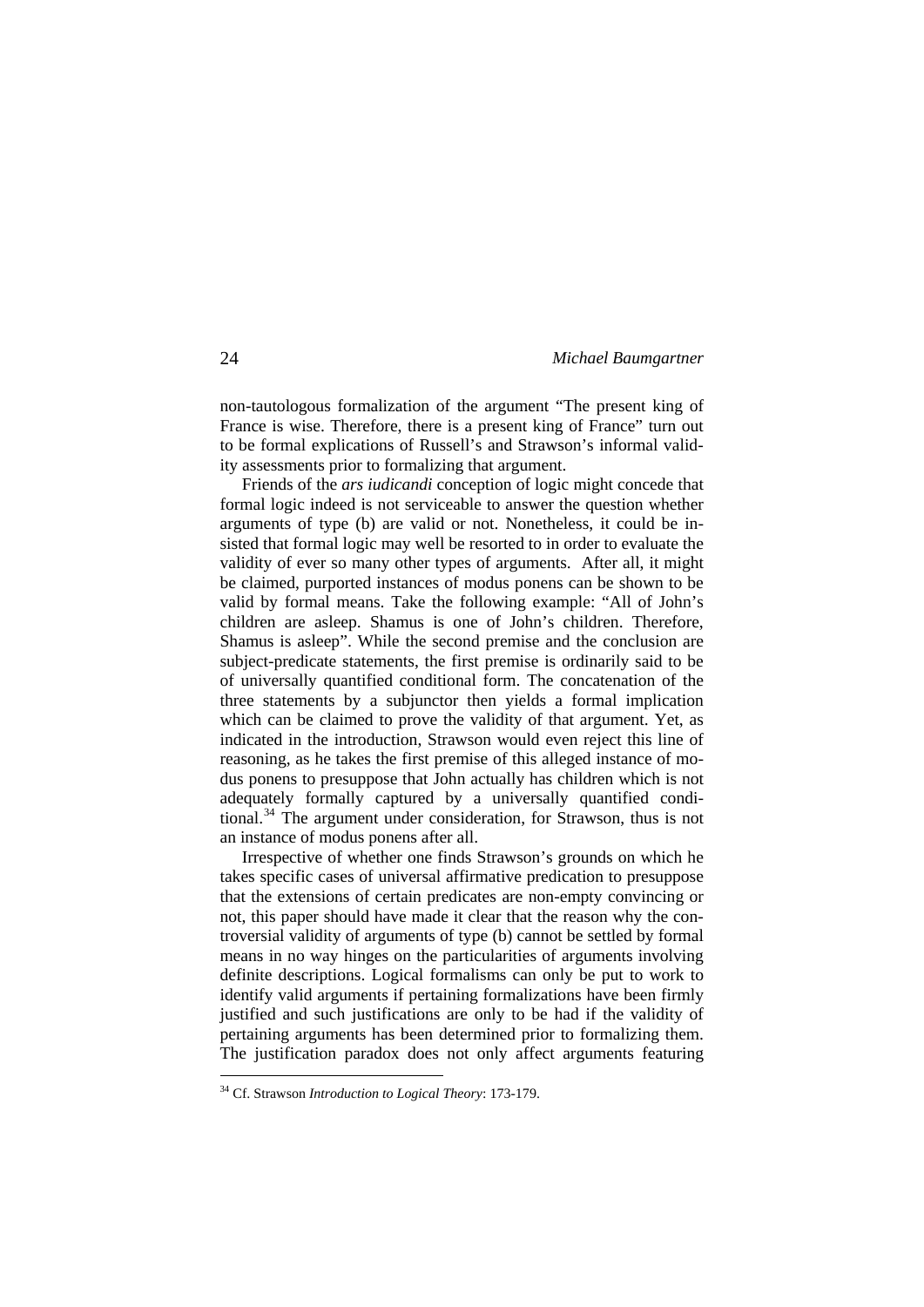non-tautologous formalization of the argument "The present king of France is wise. Therefore, there is a present king of France" turn out to be formal explications of Russell's and Strawson's informal validity assessments prior to formalizing that argument.

 Friends of the *ars iudicandi* conception of logic might concede that formal logic indeed is not serviceable to answer the question whether arguments of type (b) are valid or not. Nonetheless, it could be insisted that formal logic may well be resorted to in order to evaluate the validity of ever so many other types of arguments. After all, it might be claimed, purported instances of modus ponens can be shown to be valid by formal means. Take the following example: "All of John's children are asleep. Shamus is one of John's children. Therefore, Shamus is asleep". While the second premise and the conclusion are subject-predicate statements, the first premise is ordinarily said to be of universally quantified conditional form. The concatenation of the three statements by a subjunctor then yields a formal implication which can be claimed to prove the validity of that argument. Yet, as indicated in the introduction, Strawson would even reject this line of reasoning, as he takes the first premise of this alleged instance of modus ponens to presuppose that John actually has children which is not adequately formally captured by a universally quantified conditional.[34](#page-23-0) The argument under consideration, for Strawson, thus is not an instance of modus ponens after all.

 Irrespective of whether one finds Strawson's grounds on which he takes specific cases of universal affirmative predication to presuppose that the extensions of certain predicates are non-empty convincing or not, this paper should have made it clear that the reason why the controversial validity of arguments of type (b) cannot be settled by formal means in no way hinges on the particularities of arguments involving definite descriptions. Logical formalisms can only be put to work to identify valid arguments if pertaining formalizations have been firmly justified and such justifications are only to be had if the validity of pertaining arguments has been determined prior to formalizing them. The justification paradox does not only affect arguments featuring

<span id="page-23-0"></span><sup>34</sup> Cf. Strawson *Introduction to Logical Theory*: 173-179.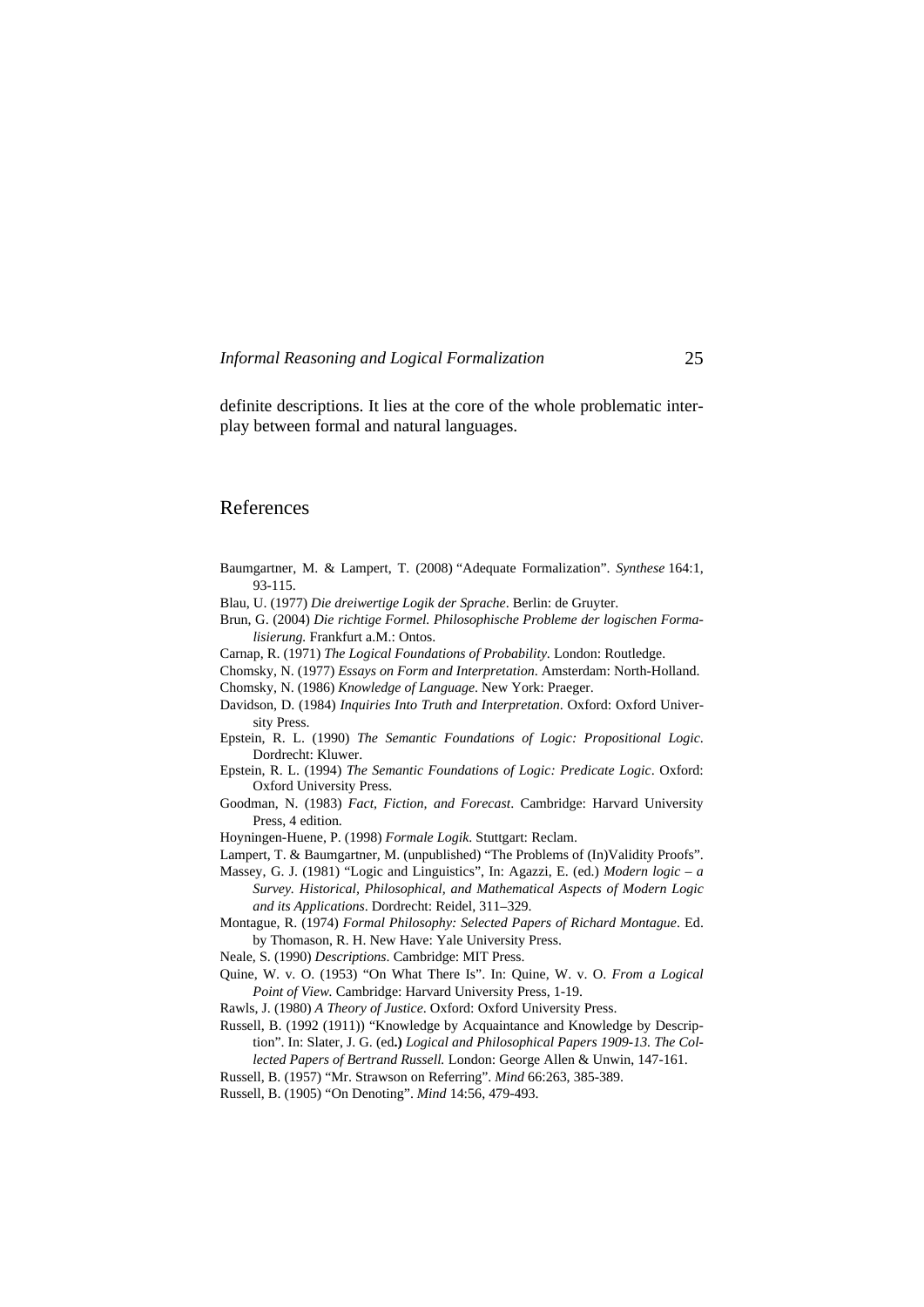definite descriptions. It lies at the core of the whole problematic interplay between formal and natural languages.

# References

- Baumgartner, M. & Lampert, T. (2008) "Adequate Formalization". *Synthese* 164:1, 93-115.
- Blau, U. (1977) *Die dreiwertige Logik der Sprache*. Berlin: de Gruyter.
- Brun, G. (2004) *Die richtige Formel. Philosophische Probleme der logischen Formalisierung.* Frankfurt a.M.: Ontos.
- Carnap, R. (1971) *The Logical Foundations of Probability*. London: Routledge.
- Chomsky, N. (1977) *Essays on Form and Interpretation*. Amsterdam: North-Holland.
- Chomsky, N. (1986) *Knowledge of Language*. New York: Praeger.
- Davidson, D. (1984) *Inquiries Into Truth and Interpretation*. Oxford: Oxford University Press.
- Epstein, R. L. (1990) *The Semantic Foundations of Logic: Propositional Logic*. Dordrecht: Kluwer.
- Epstein, R. L. (1994) *The Semantic Foundations of Logic: Predicate Logic*. Oxford: Oxford University Press.
- Goodman, N. (1983) *Fact, Fiction, and Forecast*. Cambridge: Harvard University Press, 4 edition.
- Hoyningen-Huene, P. (1998) *Formale Logik*. Stuttgart: Reclam.
- Lampert, T. & Baumgartner, M. (unpublished) "The Problems of (In)Validity Proofs".
- Massey, G. J. (1981) "Logic and Linguistics", In: Agazzi, E. (ed.) *Modern logic a Survey. Historical, Philosophical, and Mathematical Aspects of Modern Logic and its Applications*. Dordrecht: Reidel, 311–329.
- Montague, R. (1974) *Formal Philosophy: Selected Papers of Richard Montague*. Ed. by Thomason, R. H. New Have: Yale University Press.
- Neale, S. (1990) *Descriptions*. Cambridge: MIT Press.
- Quine, W. v. O. (1953) "On What There Is". In: Quine, W. v. O. *From a Logical Point of View.* Cambridge: Harvard University Press, 1-19.
- Rawls, J. (1980) *A Theory of Justice*. Oxford: Oxford University Press.
- Russell, B. (1992 (1911)) "Knowledge by Acquaintance and Knowledge by Description". In: Slater, J. G. (ed**.)** *Logical and Philosophical Papers 1909-13. The Collected Papers of Bertrand Russell.* London: George Allen & Unwin, 147-161.
- Russell, B. (1957) "Mr. Strawson on Referring". *Mind* 66:263, 385-389.
- Russell, B. (1905) "On Denoting". *Mind* 14:56, 479-493.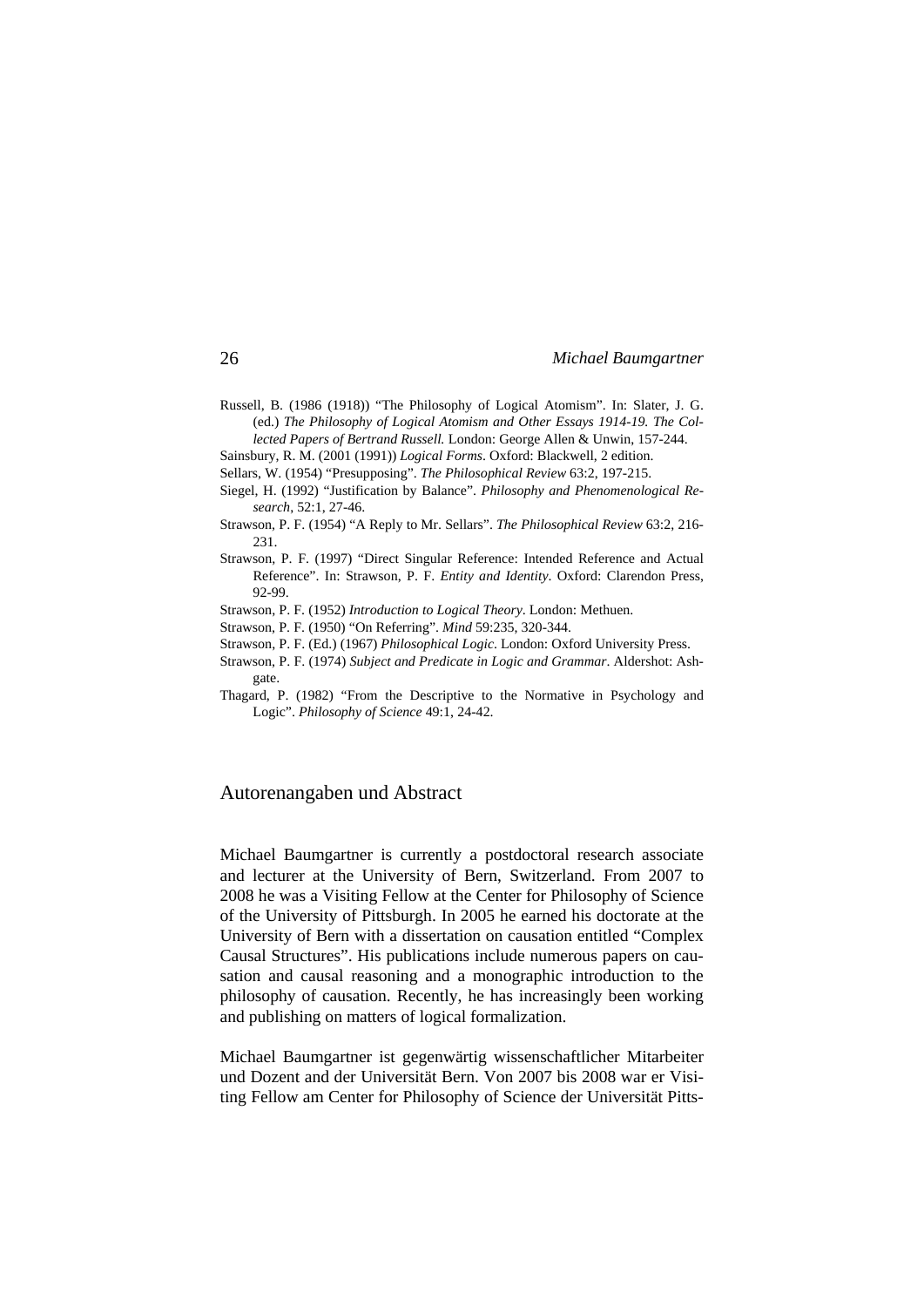- Russell, B. (1986 (1918)) "The Philosophy of Logical Atomism". In: Slater, J. G. (ed.) *The Philosophy of Logical Atomism and Other Essays 1914-19. The Collected Papers of Bertrand Russell.* London: George Allen & Unwin, 157-244.
- Sainsbury, R. M. (2001 (1991)) *Logical Forms*. Oxford: Blackwell, 2 edition.
- Sellars, W. (1954) "Presupposing". *The Philosophical Review* 63:2, 197-215.
- Siegel, H. (1992) "Justification by Balance". *Philosophy and Phenomenological Research*, 52:1, 27-46.
- Strawson, P. F. (1954) "A Reply to Mr. Sellars". *The Philosophical Review* 63:2, 216- 231.
- Strawson, P. F. (1997) "Direct Singular Reference: Intended Reference and Actual Reference". In: Strawson, P. F. *Entity and Identity*. Oxford: Clarendon Press, 92-99.
- Strawson, P. F. (1952) *Introduction to Logical Theory*. London: Methuen.
- Strawson, P. F. (1950) "On Referring". *Mind* 59:235, 320-344.
- Strawson, P. F. (Ed.) (1967) *Philosophical Logic*. London: Oxford University Press.
- Strawson, P. F. (1974) *Subject and Predicate in Logic and Grammar*. Aldershot: Ashgate.
- Thagard, P. (1982) "From the Descriptive to the Normative in Psychology and Logic". *Philosophy of Science* 49:1, 24-42.

# Autorenangaben und Abstract

Michael Baumgartner is currently a postdoctoral research associate and lecturer at the University of Bern, Switzerland. From 2007 to 2008 he was a Visiting Fellow at the Center for Philosophy of Science of the University of Pittsburgh. In 2005 he earned his doctorate at the University of Bern with a dissertation on causation entitled "Complex Causal Structures". His publications include numerous papers on causation and causal reasoning and a monographic introduction to the philosophy of causation. Recently, he has increasingly been working and publishing on matters of logical formalization.

Michael Baumgartner ist gegenwärtig wissenschaftlicher Mitarbeiter und Dozent and der Universität Bern. Von 2007 bis 2008 war er Visiting Fellow am Center for Philosophy of Science der Universität Pitts-